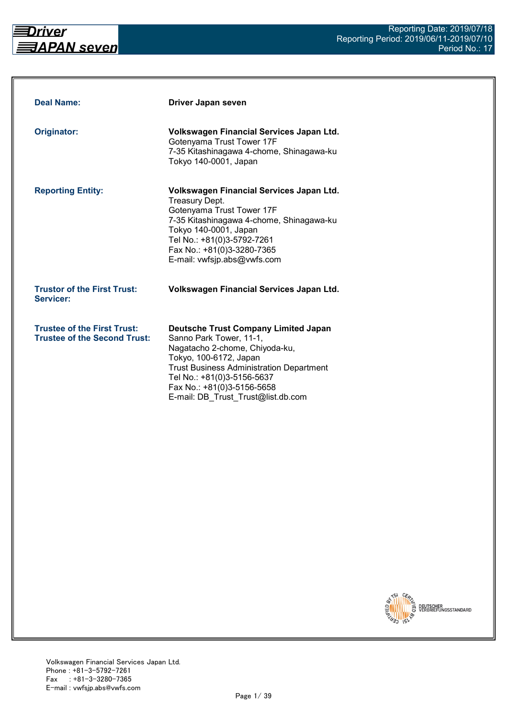

| <b>Deal Name:</b>                                                         | Driver Japan seven                                                                                                                                                                                                                                                                      |
|---------------------------------------------------------------------------|-----------------------------------------------------------------------------------------------------------------------------------------------------------------------------------------------------------------------------------------------------------------------------------------|
| Originator:                                                               | Volkswagen Financial Services Japan Ltd.<br>Gotenyama Trust Tower 17F<br>7-35 Kitashinagawa 4-chome, Shinagawa-ku<br>Tokyo 140-0001, Japan                                                                                                                                              |
| <b>Reporting Entity:</b>                                                  | Volkswagen Financial Services Japan Ltd.<br>Treasury Dept.<br>Gotenyama Trust Tower 17F<br>7-35 Kitashinagawa 4-chome, Shinagawa-ku<br>Tokyo 140-0001, Japan<br>Tel No.: +81(0)3-5792-7261<br>Fax No.: +81(0)3-3280-7365<br>E-mail: vwfsjp.abs@vwfs.com                                 |
| <b>Trustor of the First Trust:</b><br>Servicer:                           | Volkswagen Financial Services Japan Ltd.                                                                                                                                                                                                                                                |
| <b>Trustee of the First Trust:</b><br><b>Trustee of the Second Trust:</b> | <b>Deutsche Trust Company Limited Japan</b><br>Sanno Park Tower, 11-1,<br>Nagatacho 2-chome, Chiyoda-ku,<br>Tokyo, 100-6172, Japan<br><b>Trust Business Administration Department</b><br>Tel No.: +81(0)3-5156-5637<br>Fax No.: +81(0)3-5156-5658<br>E-mail: DB Trust Trust@list.db.com |

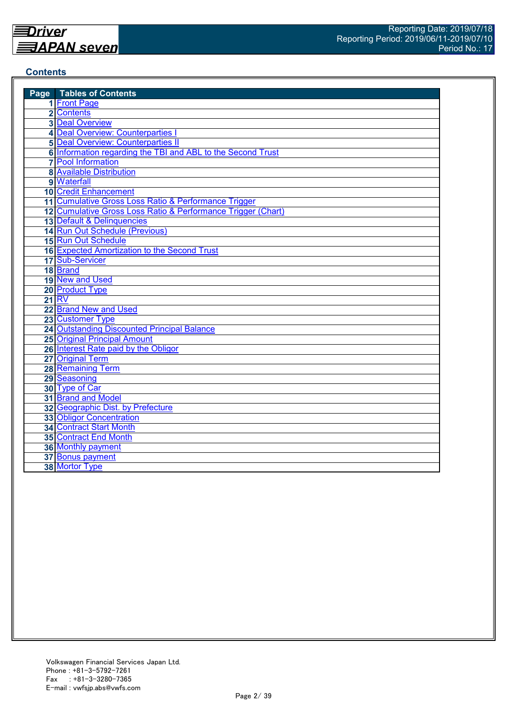#### **Contents**

| <b>Page</b> Tables of Contents                               |
|--------------------------------------------------------------|
| 1 Front Page                                                 |
| 2 Contents                                                   |
| <b>3</b> Deal Overview                                       |
| 4 Deal Overview: Counterparties I                            |
| <b>5 Deal Overview: Counterparties II</b>                    |
| 6 Information regarding the TBI and ABL to the Second Trust  |
| <b>7</b> Pool Information                                    |
| <b>8 Available Distribution</b>                              |
| 9 Waterfall                                                  |
| <b>10 Credit Enhancement</b>                                 |
| 11 Cumulative Gross Loss Ratio & Performance Trigger         |
| 12 Cumulative Gross Loss Ratio & Performance Trigger (Chart) |
| 13 Default & Delinquencies                                   |
| 14 Run Out Schedule (Previous)                               |
| <b>15 Run Out Schedule</b>                                   |
| 16 Expected Amortization to the Second Trust                 |
| 17 Sub-Servicer                                              |
| 18 Brand                                                     |
| 19 New and Used                                              |
| 20 Product Type                                              |
| <b>21 RV</b>                                                 |
| 22 Brand New and Used                                        |
| 23 Customer Type                                             |
| 24 Outstanding Discounted Principal Balance                  |
| <b>25 Original Principal Amount</b>                          |
| 26 Interest Rate paid by the Obligor                         |
| 27 Original Term                                             |
| 28 Remaining Term                                            |
| 29 Seasoning                                                 |
| 30 Type of Car                                               |
| 31 Brand and Model                                           |
| 32 Geographic Dist. by Prefecture                            |
| <b>33 Obligor Concentration</b>                              |
| <b>34 Contract Start Month</b>                               |
| 35 Contract End Month                                        |
| 36 Monthly payment                                           |
| 37 Bonus payment                                             |
| 38 Mortor Type                                               |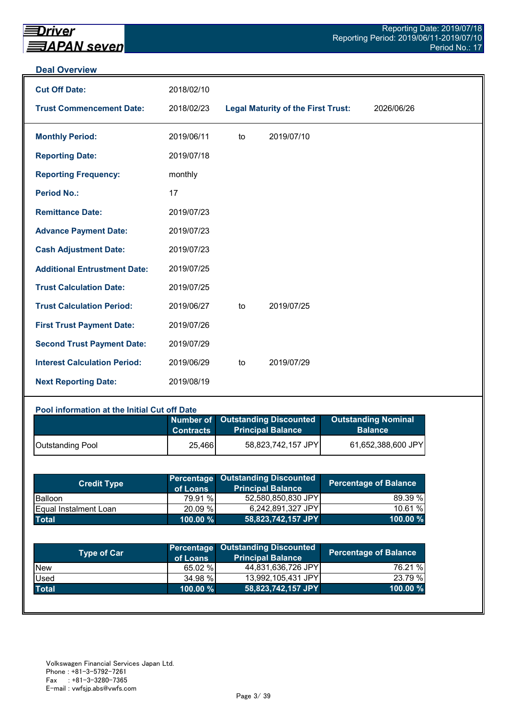#### **Deal Overview**

| <b>Cut Off Date:</b>                | 2018/02/10 |    |                                           |            |
|-------------------------------------|------------|----|-------------------------------------------|------------|
| <b>Trust Commencement Date:</b>     | 2018/02/23 |    | <b>Legal Maturity of the First Trust:</b> | 2026/06/26 |
| <b>Monthly Period:</b>              | 2019/06/11 | to | 2019/07/10                                |            |
| <b>Reporting Date:</b>              | 2019/07/18 |    |                                           |            |
| <b>Reporting Frequency:</b>         | monthly    |    |                                           |            |
| <b>Period No.:</b>                  | 17         |    |                                           |            |
| <b>Remittance Date:</b>             | 2019/07/23 |    |                                           |            |
| <b>Advance Payment Date:</b>        | 2019/07/23 |    |                                           |            |
| <b>Cash Adjustment Date:</b>        | 2019/07/23 |    |                                           |            |
| <b>Additional Entrustment Date:</b> | 2019/07/25 |    |                                           |            |
| <b>Trust Calculation Date:</b>      | 2019/07/25 |    |                                           |            |
| <b>Trust Calculation Period:</b>    | 2019/06/27 | to | 2019/07/25                                |            |
| <b>First Trust Payment Date:</b>    | 2019/07/26 |    |                                           |            |
| <b>Second Trust Payment Date:</b>   | 2019/07/29 |    |                                           |            |
| <b>Interest Calculation Period:</b> | 2019/06/29 | to | 2019/07/29                                |            |
| <b>Next Reporting Date:</b>         | 2019/08/19 |    |                                           |            |

#### **Pool information at the Initial Cut off Date**

|                         | <b>Contracts</b> | Number of Outstanding Discounted<br><b>Principal Balance</b> | <b>Outstanding Nominal</b><br><b>Balance</b> |
|-------------------------|------------------|--------------------------------------------------------------|----------------------------------------------|
| <b>Outstanding Pool</b> | 25,466           | 58,823,742,157 JPY                                           | 61,652,388,600 JPY                           |

| <b>Credit Type</b>            | of Loans    | Percentage Outstanding Discounted<br><b>Principal Balance</b> | <b>Percentage of Balance</b> |
|-------------------------------|-------------|---------------------------------------------------------------|------------------------------|
| <b>Balloon</b>                | 79.91 %     | 52,580,850,830 JPY                                            | 89.39 %                      |
| <b>IEqual Instalment Loan</b> | 20.09 %     | 6.242.891.327 JPYI                                            | 10.61 %                      |
| <b>Total</b>                  | $100.00 \%$ | 58,823,742,157 JPY                                            | $100.00 \%$                  |

| <b>Type of Car</b> | of Loans    | <b>Percentage Outstanding Discounted</b><br><b>Principal Balance</b> | <b>Percentage of Balance</b> |
|--------------------|-------------|----------------------------------------------------------------------|------------------------------|
| <b>New</b>         | 65.02 %     | 44,831,636,726 JPY                                                   | 76.21 %                      |
| Used               | 34.98 %     | 13,992,105,431 JPY                                                   | 23.79 %                      |
| <b>Total</b>       | $100.00 \%$ | 58,823,742,157 JPY                                                   | 100.00 %                     |
|                    |             |                                                                      |                              |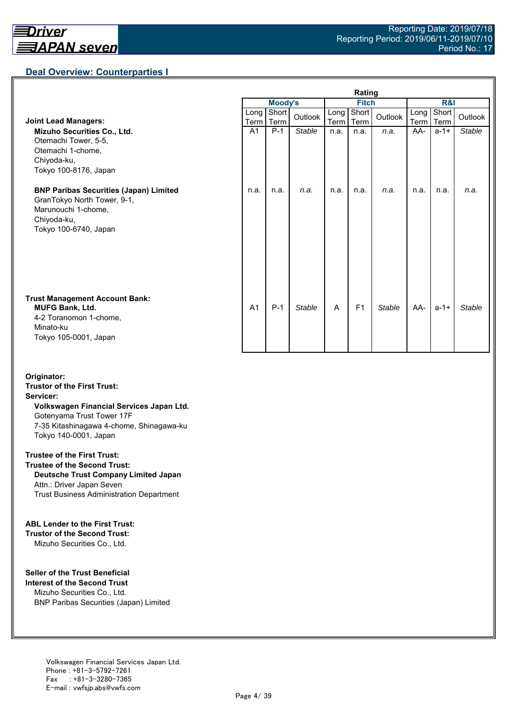## **Deal Overview: Counterparties I**

|                                                                                                                                             | Rating         |                |               |              |                |               |                     |               |               |
|---------------------------------------------------------------------------------------------------------------------------------------------|----------------|----------------|---------------|--------------|----------------|---------------|---------------------|---------------|---------------|
|                                                                                                                                             |                | <b>Moody's</b> |               | <b>Fitch</b> |                |               | R&I                 |               |               |
| <b>Joint Lead Managers:</b>                                                                                                                 | Long<br>Term   | Short<br>Term  | Outlook       | Long<br>Term | Short<br>Term  | Outlook       | Long<br><b>Term</b> | Short<br>Term | Outlook       |
| Mizuho Securities Co., Ltd.<br>Otemachi Tower, 5-5,<br>Otemachi 1-chome,<br>Chiyoda-ku,<br>Tokyo 100-8176, Japan                            | A <sub>1</sub> | $P-1$          | <b>Stable</b> | n.a.         | n.a.           | n.a.          | AA-                 | $a - 1 +$     | <b>Stable</b> |
| <b>BNP Paribas Securities (Japan) Limited</b><br>GranTokyo North Tower, 9-1,<br>Marunouchi 1-chome,<br>Chiyoda-ku,<br>Tokyo 100-6740, Japan | n.a.           | n.a.           | n.a.          | n.a.         | n.a.           | n.a.          | n.a.                | n.a.          | n.a.          |
| <b>Trust Management Account Bank:</b><br><b>MUFG Bank, Ltd.</b><br>4-2 Toranomon 1-chome,<br>Minato-ku<br>Tokyo 105-0001, Japan             | A <sub>1</sub> | $P-1$          | <b>Stable</b> | A            | F <sub>1</sub> | <b>Stable</b> | AA-                 | $a - 1 +$     | Stable        |

#### **Originator: Trustor of the First Trust: Servicer: Volkswagen Financial Services Japan Ltd.** Gotenyama Trust Tower 17F 7-35 Kitashinagawa 4-chome, Shinagawa-ku Tokyo 140-0001, Japan

#### **Trustee of the First Trust:**

**Trustee of the Second Trust: Deutsche Trust Company Limited Japan** Attn.: Driver Japan Seven Trust Business Administration Department

#### **ABL Lender to the First Trust:**

**Trustor of the Second Trust:** Mizuho Securities Co., Ltd.

#### **Seller of the Trust Beneficial**

**Interest of the Second Trust** Mizuho Securities Co., Ltd. BNP Paribas Securities (Japan) Limited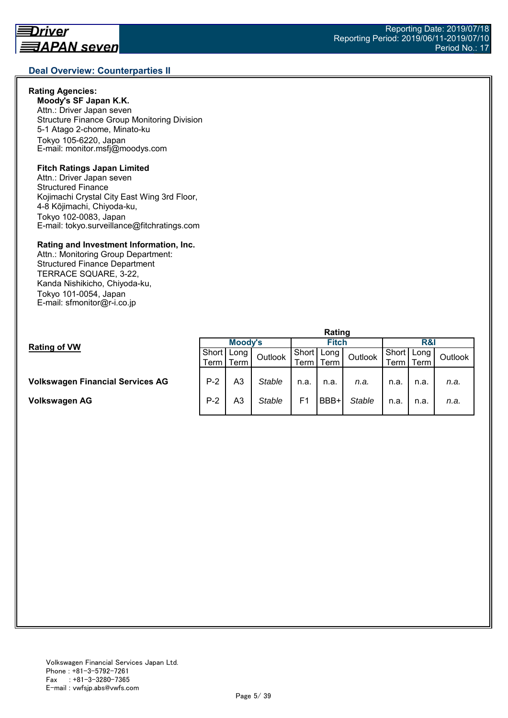## **Deal Overview: Counterparties II**

#### **Rating Agencies:**

**Moody's SF Japan K.K.** Attn.: Driver Japan seven Structure Finance Group Monitoring Division 5-1 Atago 2-chome, Minato-ku Tokyo 105-6220, Japan E-mail: monitor.msfj@moodys.com

#### **Fitch Ratings Japan Limited**

Attn.: Driver Japan seven Structured Finance Kojimachi Crystal City East Wing 3rd Floor, 4-8 Kōjimachi, Chiyoda-ku, Tokyo 102-0083, Japan E-mail: tokyo.surveillance@fitchratings.com

#### **Rating and Investment Information, Inc.**

Attn.: Monitoring Group Department: Structured Finance Department TERRACE SQUARE, 3-22, Kanda Nishikicho, Chiyoda-ku, Tokyo 101-0054, Japan E-mail: sfmonitor@r-i.co.jp

|                                  | naung   |         |               |              |      |               |                |             |         |  |
|----------------------------------|---------|---------|---------------|--------------|------|---------------|----------------|-------------|---------|--|
| <b>Rating of VW</b>              | Moody's |         |               | <b>Fitch</b> |      |               | R&I            |             |         |  |
|                                  | Short   | ∶  Long | Outlook       | Short        | Long | Outlook       | Short   Long I |             | Outlook |  |
|                                  | Term    | Term    |               | Term         | Term |               |                | Term   Term |         |  |
|                                  |         |         |               |              |      |               |                |             |         |  |
| Volkswagen Financial Services AG | $P-2$   | A3      | <b>Stable</b> | n.a.         | n.a. | n.a.          | n.a.           | n.a.        | n.a.    |  |
| Volkswagen AG                    | $P-2$   | A3      | <b>Stable</b> | F1           | BBB+ | <b>Stable</b> | n.a.           | n.a.        | n.a.    |  |
|                                  |         |         |               |              |      |               |                |             |         |  |

**Rating**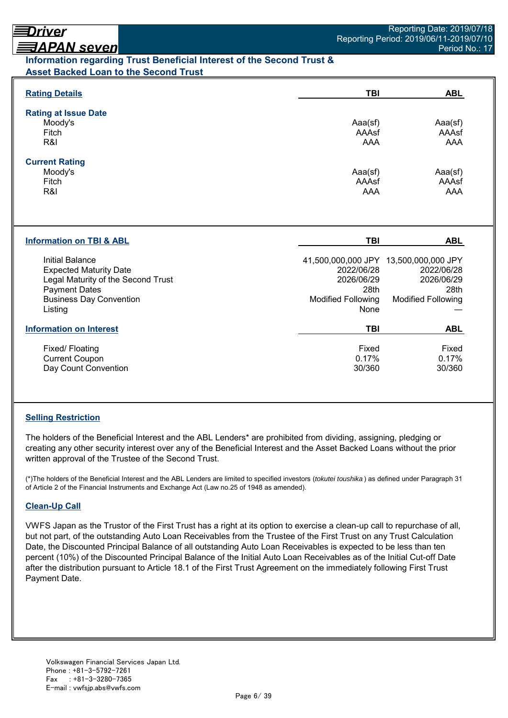## <u> ヨAPAN seven</u> **Information regarding Trust Beneficial Interest of the Second Trust & Asset Backed Loan to the Second Trust**

| <b>Rating Details</b>                                                                                                                                       | <b>TBI</b>                                                            | <b>ABL</b>                                                                                             |
|-------------------------------------------------------------------------------------------------------------------------------------------------------------|-----------------------------------------------------------------------|--------------------------------------------------------------------------------------------------------|
| <b>Rating at Issue Date</b><br>Moody's<br>Fitch<br>R&I                                                                                                      | Aaa(sf)<br>AAAsf<br><b>AAA</b>                                        | Aaa(sf)<br>AAAsf<br>AAA                                                                                |
| <b>Current Rating</b><br>Moody's<br>Fitch<br>R&I                                                                                                            | Aaa(sf)<br>AAAsf<br>AAA                                               | Aaa(sf)<br>AAAsf<br><b>AAA</b>                                                                         |
| <b>Information on TBI &amp; ABL</b>                                                                                                                         | TBI                                                                   | <b>ABL</b>                                                                                             |
| Initial Balance<br><b>Expected Maturity Date</b><br>Legal Maturity of the Second Trust<br><b>Payment Dates</b><br><b>Business Day Convention</b><br>Listing | 2022/06/28<br>2026/06/29<br>28th<br><b>Modified Following</b><br>None | 41,500,000,000 JPY 13,500,000,000 JPY<br>2022/06/28<br>2026/06/29<br>28th<br><b>Modified Following</b> |
| <b>Information on Interest</b>                                                                                                                              | <b>TBI</b>                                                            | <b>ABL</b>                                                                                             |
| Fixed/ Floating<br><b>Current Coupon</b><br>Day Count Convention                                                                                            | Fixed<br>0.17%<br>30/360                                              | Fixed<br>0.17%<br>30/360                                                                               |

## **Selling Restriction**

The holders of the Beneficial Interest and the ABL Lenders\* are prohibited from dividing, assigning, pledging or creating any other security interest over any of the Beneficial Interest and the Asset Backed Loans without the prior written approval of the Trustee of the Second Trust.

(\*)The holders of the Beneficial Interest and the ABL Lenders are limited to specified investors (*tokutei toushika* ) as defined under Paragraph 31 of Article 2 of the Financial Instruments and Exchange Act (Law no.25 of 1948 as amended).

## **Clean-Up Call**

VWFS Japan as the Trustor of the First Trust has a right at its option to exercise a clean-up call to repurchase of all, but not part, of the outstanding Auto Loan Receivables from the Trustee of the First Trust on any Trust Calculation Date, the Discounted Principal Balance of all outstanding Auto Loan Receivables is expected to be less than ten percent (10%) of the Discounted Principal Balance of the Initial Auto Loan Receivables as of the Initial Cut-off Date after the distribution pursuant to Article 18.1 of the First Trust Agreement on the immediately following First Trust Payment Date.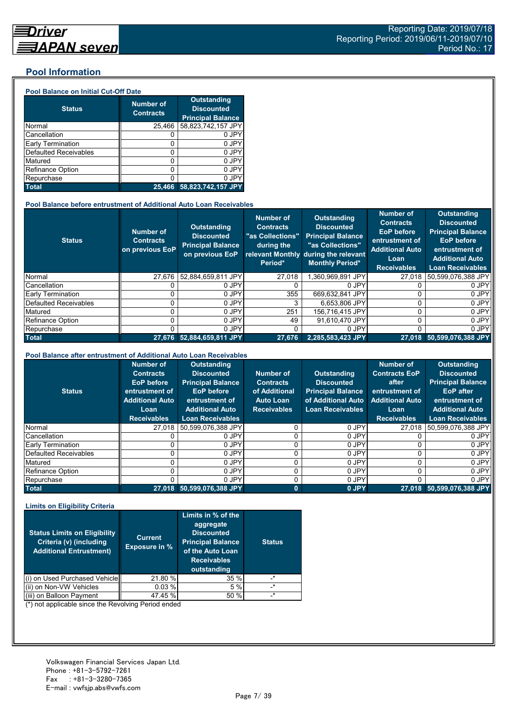#### **Pool Information**

#### **Pool Balance on Initial Cut-Off Date**

| <b>Status</b>                | <b>Number of</b><br><b>Contracts</b> | <b>Outstanding</b><br><b>Discounted</b><br><b>Principal Balance</b> |
|------------------------------|--------------------------------------|---------------------------------------------------------------------|
| Normal                       | 25,466                               | 58,823,742,157 JPY                                                  |
| Cancellation                 |                                      | 0 JPY                                                               |
| Early Termination            | 0                                    | 0 JPY                                                               |
| <b>Defaulted Receivables</b> | 0                                    | 0 JPY                                                               |
| Matured                      | ი                                    | 0 JPY                                                               |
| <b>Refinance Option</b>      | 0                                    | 0 JPY                                                               |
| Repurchase                   |                                      | 0 JPY                                                               |
| <b>Total</b>                 | 25.466                               | 58,823,742,157 JPY                                                  |

#### **Pool Balance before entrustment of Additional Auto Loan Receivables**

| <b>Status</b>            | <b>Number of</b><br><b>Contracts</b><br>on previous EoP | <b>Outstanding</b><br><b>Discounted</b><br><b>Principal Balance</b><br>on previous EoP | <b>Number of</b><br><b>Contracts</b><br>"as Collections"<br>during the<br>Period* | Outstanding<br><b>Discounted</b><br><b>Principal Balance</b><br>"as Collections"<br>relevant Monthly during the relevant<br><b>Monthly Period*</b> | <b>Number of</b><br><b>Contracts</b><br><b>EoP</b> before<br>entrustment of<br><b>Additional Auto</b><br>Loan<br><b>Receivables</b> | <b>Outstanding</b><br><b>Discounted</b><br><b>Principal Balance</b><br><b>EoP</b> before<br>entrustment of<br><b>Additional Auto</b><br><b>Loan Receivables</b> |
|--------------------------|---------------------------------------------------------|----------------------------------------------------------------------------------------|-----------------------------------------------------------------------------------|----------------------------------------------------------------------------------------------------------------------------------------------------|-------------------------------------------------------------------------------------------------------------------------------------|-----------------------------------------------------------------------------------------------------------------------------------------------------------------|
| Normal                   | 27.676                                                  | 52.884.659.811 JPY                                                                     | 27,018                                                                            | ,360,969,891 JPY                                                                                                                                   | 27,018                                                                                                                              | 50,599,076,388 JPY                                                                                                                                              |
| Cancellation             |                                                         | 0 JPY                                                                                  |                                                                                   | 0 JPY                                                                                                                                              |                                                                                                                                     | 0 JPY                                                                                                                                                           |
| <b>Early Termination</b> |                                                         | 0 JPY                                                                                  | 355                                                                               | 669.632.841 JPY                                                                                                                                    |                                                                                                                                     | 0 JPY                                                                                                                                                           |
| Defaulted Receivables    |                                                         | 0 JPY                                                                                  |                                                                                   | 6.653.806 JPY                                                                                                                                      |                                                                                                                                     | 0 JPY                                                                                                                                                           |
| Matured                  |                                                         | 0 JPY                                                                                  | 251                                                                               | 156.716.415 JPY                                                                                                                                    |                                                                                                                                     | 0 JPY                                                                                                                                                           |
| <b>Refinance Option</b>  |                                                         | 0 JPY                                                                                  | 49                                                                                | 91.610.470 JPY                                                                                                                                     | U                                                                                                                                   | 0 JPY                                                                                                                                                           |
| Repurchase               |                                                         | 0 JPY                                                                                  |                                                                                   | 0 JPY                                                                                                                                              | U                                                                                                                                   | 0 JPY                                                                                                                                                           |
| <b>Total</b>             | 27.676                                                  | 52.884.659.811 JPY                                                                     | 27.676                                                                            | 2,285,583,423 JPY                                                                                                                                  |                                                                                                                                     | 27,018 50,599,076,388 JPY                                                                                                                                       |

#### **Pool Balance after entrustment of Additional Auto Loan Receivables**

| <b>Status</b>            | <b>Number of</b><br><b>Contracts</b><br><b>EoP</b> before<br>entrustment of<br><b>Additional Auto</b><br>Loan<br><b>Receivables</b> | <b>Outstanding</b><br><b>Discounted</b><br><b>Principal Balance</b><br><b>EoP</b> before<br>entrustment of<br><b>Additional Auto</b><br><b>Loan Receivables</b> | Number of<br><b>Contracts</b><br>of Additional<br><b>Auto Loan</b><br><b>Receivables</b> | <b>Outstanding</b><br><b>Discounted</b><br><b>Principal Balance</b><br>of Additional Auto<br><b>Loan Receivables</b> | <b>Number of</b><br><b>Contracts EoP</b><br>after<br>entrustment of<br><b>Additional Auto</b><br>Loan<br><b>Receivables</b> | <b>Outstanding</b><br><b>Discounted</b><br><b>Principal Balance</b><br><b>EoP</b> after<br>entrustment of<br><b>Additional Auto</b><br><b>Loan Receivables</b> |
|--------------------------|-------------------------------------------------------------------------------------------------------------------------------------|-----------------------------------------------------------------------------------------------------------------------------------------------------------------|------------------------------------------------------------------------------------------|----------------------------------------------------------------------------------------------------------------------|-----------------------------------------------------------------------------------------------------------------------------|----------------------------------------------------------------------------------------------------------------------------------------------------------------|
| Normal                   | 27.018                                                                                                                              | 50.599.076.388 JPY                                                                                                                                              |                                                                                          | 0 JPY                                                                                                                | 27.018                                                                                                                      | 50.599.076.388 JPY                                                                                                                                             |
| Cancellation             |                                                                                                                                     | 0 JPY                                                                                                                                                           |                                                                                          | 0 JPY                                                                                                                |                                                                                                                             | 0 JPY                                                                                                                                                          |
| <b>Early Termination</b> |                                                                                                                                     | 0 JPY                                                                                                                                                           |                                                                                          | 0 JPY                                                                                                                |                                                                                                                             | 0 JPY                                                                                                                                                          |
| Defaulted Receivables    |                                                                                                                                     | 0 JPY                                                                                                                                                           |                                                                                          | 0 JPY                                                                                                                |                                                                                                                             | 0 JPY                                                                                                                                                          |
| Matured                  |                                                                                                                                     | 0 JPY                                                                                                                                                           |                                                                                          | 0 JPY                                                                                                                | 0                                                                                                                           | 0 JPY                                                                                                                                                          |
| Refinance Option         |                                                                                                                                     | 0 JPY                                                                                                                                                           |                                                                                          | 0 JPY                                                                                                                |                                                                                                                             | 0 JPY                                                                                                                                                          |
| Repurchase               |                                                                                                                                     | 0 JPY                                                                                                                                                           |                                                                                          | 0 JPY                                                                                                                |                                                                                                                             | 0 JPY                                                                                                                                                          |
| <b>Total</b>             | 27.018                                                                                                                              | 50,599,076,388 JPY                                                                                                                                              | $\bf{0}$                                                                                 | 0 JPY                                                                                                                | 27.018                                                                                                                      | 50,599,076,388 JPY                                                                                                                                             |

#### **Limits on Eligibility Criteria**

| <b>Status Limits on Eligibility</b><br>Criteria (v) (including<br><b>Additional Entrustment)</b> | <b>Current</b><br><b>Exposure in %</b> | Limits in % of the<br>aggregate<br><b>Discounted</b><br><b>Principal Balance</b><br>of the Auto Loan<br><b>Receivables</b><br>outstanding | <b>Status</b> |
|--------------------------------------------------------------------------------------------------|----------------------------------------|-------------------------------------------------------------------------------------------------------------------------------------------|---------------|
| on Used Purchased Vehicle<br>(i)                                                                 | 21.80 %                                | 35%                                                                                                                                       | $\cdot^*$     |
| (ii) on Non-VW Vehicles                                                                          | 0.03%                                  | 5 %                                                                                                                                       | $\star$       |
| on Balloon Payment                                                                               | 47.45 %                                | 50 %                                                                                                                                      | $\star$       |

(\*) not applicable since the Revolving Period ended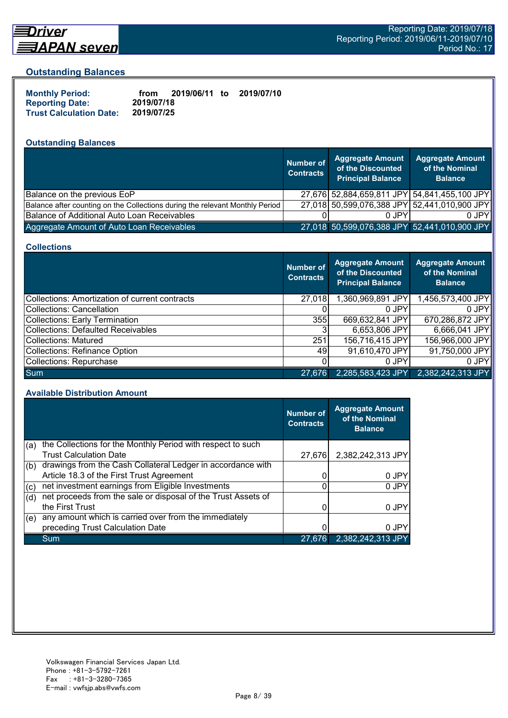

# Driver

#### **Outstanding Balances**

| <b>Monthly Period:</b>         | from       | 2019/06/11 to | 2019/07/10 |
|--------------------------------|------------|---------------|------------|
| <b>Reporting Date:</b>         | 2019/07/18 |               |            |
| <b>Trust Calculation Date:</b> | 2019/07/25 |               |            |

# **Outstanding Balances**

|                                                                              | <b>Number of</b><br><b>Contracts</b> | <b>Aggregate Amount</b><br>of the Discounted<br><b>Principal Balance</b> | <b>Aggregate Amount</b><br>of the Nominal<br><b>Balance</b> |
|------------------------------------------------------------------------------|--------------------------------------|--------------------------------------------------------------------------|-------------------------------------------------------------|
| Balance on the previous EoP                                                  |                                      |                                                                          | 27,676 52,884,659,811 JPY 54,841,455,100 JPY                |
| Balance after counting on the Collections during the relevant Monthly Period |                                      |                                                                          | 27,018 50,599,076,388 JPY 52,441,010,900 JPY                |
| Balance of Additional Auto Loan Receivables                                  |                                      | 0 JPY                                                                    | 0 JPY                                                       |
| Aggregate Amount of Auto Loan Receivables                                    |                                      | 27,018 50,599,076,388 JPY 52,441,010,900 JPY                             |                                                             |

#### **Collections**

|                                                | Number of<br><b>Contracts</b> | Aggregate Amount<br>of the Discounted<br><b>Principal Balance</b> | <b>Aggregate Amount</b><br>of the Nominal<br><b>Balance</b> |
|------------------------------------------------|-------------------------------|-------------------------------------------------------------------|-------------------------------------------------------------|
| Collections: Amortization of current contracts | 27,018                        | 1,360,969,891 JPY                                                 | 1,456,573,400 JPY                                           |
| Collections: Cancellation                      |                               | 0 JPY                                                             | $0$ JPY                                                     |
| Collections: Early Termination                 | 355                           | 669,632,841 JPY                                                   | 670,286,872 JPY                                             |
| Collections: Defaulted Receivables             |                               | 6,653,806 JPY                                                     | 6,666,041 JPY                                               |
| Collections: Matured                           | 251                           | 156,716,415 JPY                                                   | 156,966,000 JPY                                             |
| Collections: Refinance Option                  | 49                            | 91,610,470 JPY                                                    | 91,750,000 JPY                                              |
| Collections: Repurchase                        |                               | 0 JPY                                                             | $0$ JPY                                                     |
| <b>Sum</b>                                     | 27,676                        | 2,285,583,423 JPY                                                 | 2,382,242,313 JPY                                           |

#### **Available Distribution Amount**

|     |                                                               | <b>Number of</b><br><b>Contracts</b> | <b>Aggregate Amount</b><br>of the Nominal<br><b>Balance</b> |
|-----|---------------------------------------------------------------|--------------------------------------|-------------------------------------------------------------|
| (a) | the Collections for the Monthly Period with respect to such   |                                      |                                                             |
|     | <b>Trust Calculation Date</b>                                 | 27.676                               | 2,382,242,313 JPY                                           |
| (b) | drawings from the Cash Collateral Ledger in accordance with   |                                      |                                                             |
|     | Article 18.3 of the First Trust Agreement                     |                                      | 0 JPY                                                       |
| (c) | net investment earnings from Eligible Investments             | 0                                    | 0 JPY                                                       |
| (d) | net proceeds from the sale or disposal of the Trust Assets of |                                      |                                                             |
|     | the First Trust                                               |                                      | 0 JPY                                                       |
| (e) | any amount which is carried over from the immediately         |                                      |                                                             |
|     | preceding Trust Calculation Date                              |                                      | 0 JPY                                                       |
|     | Sum                                                           | 27.676                               | 2,382,242,313 JPY                                           |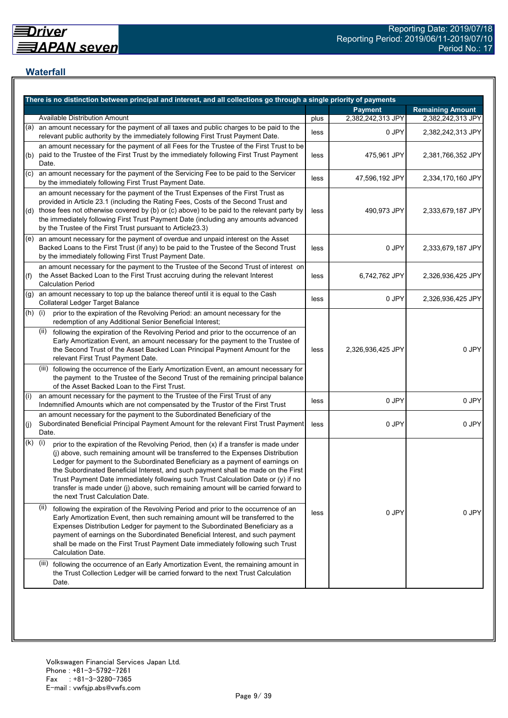## **Waterfall**

|           | There is no distinction between principal and interest, and all collections go through a single priority of payments                                                                                                                                                                                                                                                                                                                                                                                                                                                    |      |                   |                         |
|-----------|-------------------------------------------------------------------------------------------------------------------------------------------------------------------------------------------------------------------------------------------------------------------------------------------------------------------------------------------------------------------------------------------------------------------------------------------------------------------------------------------------------------------------------------------------------------------------|------|-------------------|-------------------------|
|           |                                                                                                                                                                                                                                                                                                                                                                                                                                                                                                                                                                         |      | <b>Payment</b>    | <b>Remaining Amount</b> |
|           | <b>Available Distribution Amount</b>                                                                                                                                                                                                                                                                                                                                                                                                                                                                                                                                    | plus | 2,382,242,313 JPY | 2,382,242,313 JPY       |
| (a)       | an amount necessary for the payment of all taxes and public charges to be paid to the<br>relevant public authority by the immediately following First Trust Payment Date.                                                                                                                                                                                                                                                                                                                                                                                               | less | 0 JPY             | 2,382,242,313 JPY       |
| (b)       | an amount necessary for the payment of all Fees for the Trustee of the First Trust to be<br>paid to the Trustee of the First Trust by the immediately following First Trust Payment<br>Date.                                                                                                                                                                                                                                                                                                                                                                            | less | 475,961 JPY       | 2,381,766,352 JPY       |
| (C)       | an amount necessary for the payment of the Servicing Fee to be paid to the Servicer<br>by the immediately following First Trust Payment Date.                                                                                                                                                                                                                                                                                                                                                                                                                           | less | 47,596,192 JPY    | 2,334,170,160 JPY       |
|           | an amount necessary for the payment of the Trust Expenses of the First Trust as<br>provided in Article 23.1 (including the Rating Fees, Costs of the Second Trust and<br>(d) those fees not otherwise covered by (b) or (c) above) to be paid to the relevant party by<br>the immediately following First Trust Payment Date (including any amounts advanced<br>by the Trustee of the First Trust pursuant to Article23.3)                                                                                                                                              | less | 490,973 JPY       | 2,333,679,187 JPY       |
|           | $(e)$ an amount necessary for the payment of overdue and unpaid interest on the Asset<br>Backed Loans to the First Trust (if any) to be paid to the Trustee of the Second Trust<br>by the immediately following First Trust Payment Date.                                                                                                                                                                                                                                                                                                                               | less | 0 JPY             | 2,333,679,187 JPY       |
| (f)       | an amount necessary for the payment to the Trustee of the Second Trust of interest on<br>the Asset Backed Loan to the First Trust accruing during the relevant Interest<br><b>Calculation Period</b>                                                                                                                                                                                                                                                                                                                                                                    | less | 6,742,762 JPY     | 2,326,936,425 JPY       |
| (g)       | an amount necessary to top up the balance thereof until it is equal to the Cash<br>Collateral Ledger Target Balance                                                                                                                                                                                                                                                                                                                                                                                                                                                     | less | 0 JPY             | 2,326,936,425 JPY       |
| $(h)$ (i) | prior to the expiration of the Revolving Period: an amount necessary for the<br>redemption of any Additional Senior Beneficial Interest;                                                                                                                                                                                                                                                                                                                                                                                                                                |      |                   |                         |
|           | following the expiration of the Revolving Period and prior to the occurrence of an<br>(ii)<br>Early Amortization Event, an amount necessary for the payment to the Trustee of<br>the Second Trust of the Asset Backed Loan Principal Payment Amount for the<br>relevant First Trust Payment Date.                                                                                                                                                                                                                                                                       | less | 2,326,936,425 JPY | 0 JPY                   |
|           | (iii) following the occurrence of the Early Amortization Event, an amount necessary for<br>the payment to the Trustee of the Second Trust of the remaining principal balance<br>of the Asset Backed Loan to the First Trust.                                                                                                                                                                                                                                                                                                                                            |      |                   |                         |
| (i)       | an amount necessary for the payment to the Trustee of the First Trust of any<br>Indemnified Amounts which are not compensated by the Trustor of the First Trust                                                                                                                                                                                                                                                                                                                                                                                                         | less | 0 JPY             | 0 JPY                   |
| (j)       | an amount necessary for the payment to the Subordinated Beneficiary of the<br>Subordinated Beneficial Principal Payment Amount for the relevant First Trust Payment<br>Date.                                                                                                                                                                                                                                                                                                                                                                                            | less | 0 JPY             | 0 JPY                   |
| (k)       | (i)<br>prior to the expiration of the Revolving Period, then (x) if a transfer is made under<br>(j) above, such remaining amount will be transferred to the Expenses Distribution<br>Ledger for payment to the Subordinated Beneficiary as a payment of earnings on<br>the Subordinated Beneficial Interest, and such payment shall be made on the First<br>Trust Payment Date immediately following such Trust Calculation Date or (y) if no<br>transfer is made under (j) above, such remaining amount will be carried forward to<br>the next Trust Calculation Date. |      |                   |                         |
|           | (ii)<br>following the expiration of the Revolving Period and prior to the occurrence of an<br>Early Amortization Event, then such remaining amount will be transferred to the<br>Expenses Distribution Ledger for payment to the Subordinated Beneficiary as a<br>payment of earnings on the Subordinated Beneficial Interest, and such payment<br>shall be made on the First Trust Payment Date immediately following such Trust<br>Calculation Date.                                                                                                                  | less | 0 JPY             | 0 JPY                   |
|           | (iii) following the occurrence of an Early Amortization Event, the remaining amount in<br>the Trust Collection Ledger will be carried forward to the next Trust Calculation<br>Date.                                                                                                                                                                                                                                                                                                                                                                                    |      |                   |                         |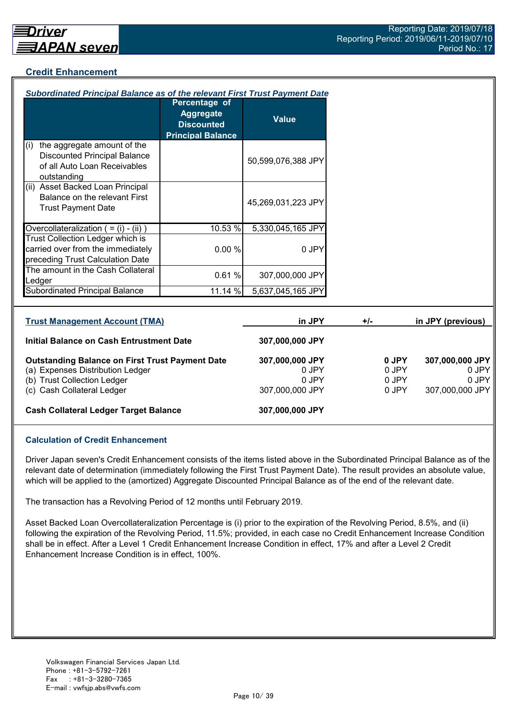## **Credit Enhancement**

| Subordinated Principal Balance as of the relevant First Trust Payment Date                                                |                                                                                    |                                   |       |                         |                                   |
|---------------------------------------------------------------------------------------------------------------------------|------------------------------------------------------------------------------------|-----------------------------------|-------|-------------------------|-----------------------------------|
|                                                                                                                           | Percentage of<br><b>Aggregate</b><br><b>Discounted</b><br><b>Principal Balance</b> | <b>Value</b>                      |       |                         |                                   |
| the aggregate amount of the<br>(i)<br><b>Discounted Principal Balance</b><br>of all Auto Loan Receivables<br>outstanding  |                                                                                    | 50,599,076,388 JPY                |       |                         |                                   |
| (ii) Asset Backed Loan Principal<br>Balance on the relevant First<br><b>Trust Payment Date</b>                            |                                                                                    | 45,269,031,223 JPY                |       |                         |                                   |
| Overcollateralization $( = (i) - (ii))$                                                                                   | 10.53 %                                                                            | 5,330,045,165 JPY                 |       |                         |                                   |
| Trust Collection Ledger which is<br>carried over from the immediately<br>preceding Trust Calculation Date                 | 0.00%                                                                              | 0 JPY                             |       |                         |                                   |
| The amount in the Cash Collateral<br>Ledger                                                                               | 0.61%                                                                              | 307,000,000 JPY                   |       |                         |                                   |
| <b>Subordinated Principal Balance</b>                                                                                     | 11.14 %                                                                            | 5,637,045,165 JPY                 |       |                         |                                   |
|                                                                                                                           |                                                                                    |                                   |       |                         |                                   |
| <b>Trust Management Account (TMA)</b>                                                                                     |                                                                                    | in JPY                            | $+/-$ |                         | in JPY (previous)                 |
| <b>Initial Balance on Cash Entrustment Date</b>                                                                           |                                                                                    | 307,000,000 JPY                   |       |                         |                                   |
| <b>Outstanding Balance on First Trust Payment Date</b><br>(a) Expenses Distribution Ledger<br>(b) Trust Collection Ledger |                                                                                    | 307,000,000 JPY<br>0 JPY<br>0 JPY |       | 0 JPY<br>0 JPY<br>0 JPY | 307,000,000 JPY<br>0 JPY<br>0 JPY |

(c) Cash Collateral Ledger 307,000,000 JPY 0 JPY 307,000,000 JPY

#### **Cash Collateral Ledger Target Balance 307,000,000 JPY**

#### **Calculation of Credit Enhancement**

Driver Japan seven's Credit Enhancement consists of the items listed above in the Subordinated Principal Balance as of the relevant date of determination (immediately following the First Trust Payment Date). The result provides an absolute value, which will be applied to the (amortized) Aggregate Discounted Principal Balance as of the end of the relevant date.

The transaction has a Revolving Period of 12 months until February 2019.

Asset Backed Loan Overcollateralization Percentage is (i) prior to the expiration of the Revolving Period, 8.5%, and (ii) following the expiration of the Revolving Period, 11.5%; provided, in each case no Credit Enhancement Increase Condition shall be in effect. After a Level 1 Credit Enhancement Increase Condition in effect, 17% and after a Level 2 Credit Enhancement Increase Condition is in effect, 100%.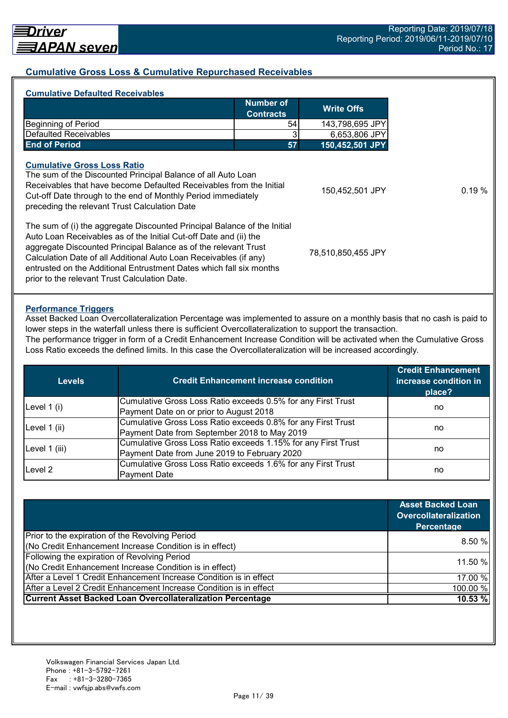#### **Cumulative Gross Loss & Cumulative Repurchased Receivables**

| <b>Cumulative Defaulted Receivables</b>                                                                                                                                                                                                                                               |                                      |                    |
|---------------------------------------------------------------------------------------------------------------------------------------------------------------------------------------------------------------------------------------------------------------------------------------|--------------------------------------|--------------------|
|                                                                                                                                                                                                                                                                                       | <b>Number of</b><br><b>Contracts</b> | <b>Write Offs</b>  |
| <b>Beginning of Period</b>                                                                                                                                                                                                                                                            | 54                                   | 143,798,695 JPY    |
| Defaulted Receivables                                                                                                                                                                                                                                                                 |                                      | 6,653,806 JPY      |
| <b>End of Period</b>                                                                                                                                                                                                                                                                  | 57                                   | 150,452,501 JPY    |
| The sum of the Discounted Principal Balance of all Auto Loan<br>Receivables that have become Defaulted Receivables from the Initial<br>Cut-off Date through to the end of Monthly Period immediately<br>preceding the relevant Trust Calculation Date                                 |                                      | 150,452,501 JPY    |
| The sum of (i) the aggregate Discounted Principal Balance of the Initial<br>Auto Loan Receivables as of the Initial Cut-off Date and (ii) the<br>aggregate Discounted Principal Balance as of the relevant Trust<br>Calculation Date of all Additional Auto Loan Receivables (if any) |                                      | 78,510,850,455 JPY |

#### **Performance Triggers**

Asset Backed Loan Overcollateralization Percentage was implemented to assure on a monthly basis that no cash is paid to lower steps in the waterfall unless there is sufficient Overcollateralization to support the transaction.

The performance trigger in form of a Credit Enhancement Increase Condition will be activated when the Cumulative Gross Loss Ratio exceeds the defined limits. In this case the Overcollateralization will be increased accordingly.

| <b>Levels</b> | <b>Credit Enhancement increase condition</b>                  | <b>Credit Enhancement</b><br>increase condition in<br>place? |  |
|---------------|---------------------------------------------------------------|--------------------------------------------------------------|--|
| Level $1(i)$  | Cumulative Gross Loss Ratio exceeds 0.5% for any First Trust  |                                                              |  |
|               | Payment Date on or prior to August 2018                       | no                                                           |  |
|               | Cumulative Gross Loss Ratio exceeds 0.8% for any First Trust  |                                                              |  |
| Level 1 (ii)  | Payment Date from September 2018 to May 2019                  | no                                                           |  |
|               | Cumulative Gross Loss Ratio exceeds 1.15% for any First Trust |                                                              |  |
| Level 1 (iii) | Payment Date from June 2019 to February 2020                  | no                                                           |  |
| Level 2       | Cumulative Gross Loss Ratio exceeds 1.6% for any First Trust  |                                                              |  |
|               | <b>Payment Date</b>                                           | no                                                           |  |

|                                                                    | <b>Asset Backed Loan</b><br><b>Overcollateralization</b><br>Percentage |
|--------------------------------------------------------------------|------------------------------------------------------------------------|
| Prior to the expiration of the Revolving Period                    |                                                                        |
| (No Credit Enhancement Increase Condition is in effect)            | 8.50%                                                                  |
| Following the expiration of Revolving Period                       | 11.50 %                                                                |
| (No Credit Enhancement Increase Condition is in effect)            |                                                                        |
| After a Level 1 Credit Enhancement Increase Condition is in effect | 17.00 %                                                                |
| After a Level 2 Credit Enhancement Increase Condition is in effect | 100.00 %                                                               |
| <b>Current Asset Backed Loan Overcollateralization Percentage</b>  | 10.53 %                                                                |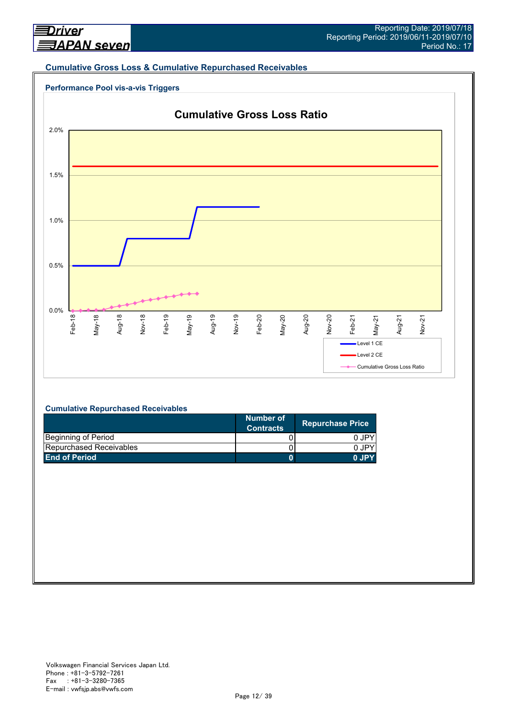#### **Cumulative Gross Loss & Cumulative Repurchased Receivables**





#### **Cumulative Repurchased Receivables**

|                                | Number of<br><b>Contracts</b> | <b>Repurchase Price</b> |
|--------------------------------|-------------------------------|-------------------------|
| Beginning of Period            |                               | 0 JPY                   |
| <b>Repurchased Receivables</b> |                               | 0.IPY                   |
| <b>End of Period</b>           |                               | 0.IPY                   |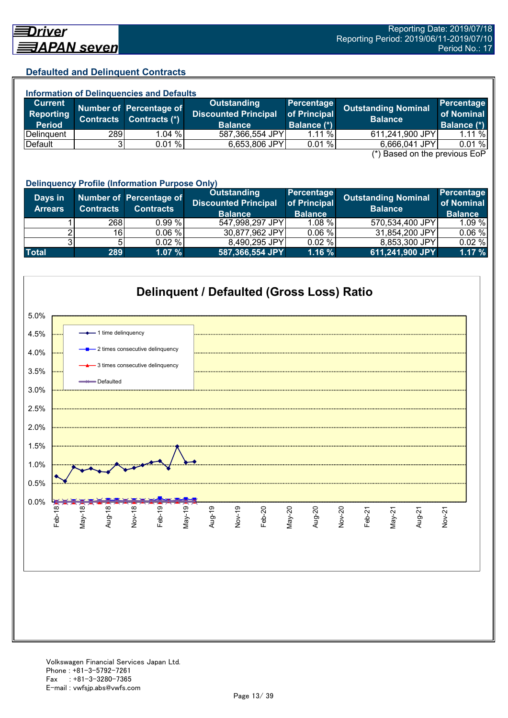#### **Defaulted and Delinquent Contracts**

| <b>Information of Delinguencies and Defaults</b> |                  |                                          |                                                                     |                                           |                                               |                                                |  |
|--------------------------------------------------|------------------|------------------------------------------|---------------------------------------------------------------------|-------------------------------------------|-----------------------------------------------|------------------------------------------------|--|
| Current<br>Reporting<br><b>Period</b>            | <b>Contracts</b> | Number of Percentage of<br>Contracts (*) | <b>Outstanding</b><br><b>Discounted Principal</b><br><b>Balance</b> | Percentage<br>of Principal<br>Balance (*) | <b>Outstanding Nominal</b><br><b>Balance</b>  | <b>Percentage</b><br>of Nominal<br>Balance (*) |  |
| Delinquent                                       | 289              | 1.04%                                    | 587,366,554 JPY                                                     | $1.11\%$                                  | 611,241,900 JPY                               | $1.11 \%$                                      |  |
| Default                                          |                  | 0.01%                                    | 6,653,806 JPY                                                       | 0.01%                                     | 6,666,041 JPY                                 | 0.01%                                          |  |
|                                                  |                  |                                          |                                                                     |                                           | $(*)$ Bosed on the provisue $\Gamma_2 \Gamma$ |                                                |  |

(\*) Based on the previous EoP

|                           | <b>Delinquency Profile (Information Purpose Only)</b> |                                             |                                                                     |                                              |                                              |                                            |  |  |
|---------------------------|-------------------------------------------------------|---------------------------------------------|---------------------------------------------------------------------|----------------------------------------------|----------------------------------------------|--------------------------------------------|--|--|
| Days in<br><b>Arrears</b> | <b>Contracts</b>                                      | Number of Percentage of<br><b>Contracts</b> | <b>Outstanding</b><br><b>Discounted Principal</b><br><b>Balance</b> | Percentage<br>of Principal<br><b>Balance</b> | <b>Outstanding Nominal</b><br><b>Balance</b> | Percentage<br>of Nominal<br><b>Balance</b> |  |  |
|                           | 268                                                   | 0.99%                                       | 547,998,297 JPY                                                     | $1.08 \%$                                    | 570,534,400 JPY                              | 1.09 %                                     |  |  |
|                           | 16                                                    | 0.06 %                                      | 30,877,962 JPY                                                      | 0.06%                                        | 31,854,200 JPY                               | 0.06%                                      |  |  |
|                           |                                                       | $0.02 \%$                                   | 8,490,295 JPY                                                       | 0.02%                                        | 8,853,300 JPY                                | 0.02%                                      |  |  |
| <b>Total</b>              | 289                                                   | 1.07%                                       | 587,366,554 JPY                                                     | 1.16%                                        | 611,241,900 JPY                              | 1.17%                                      |  |  |

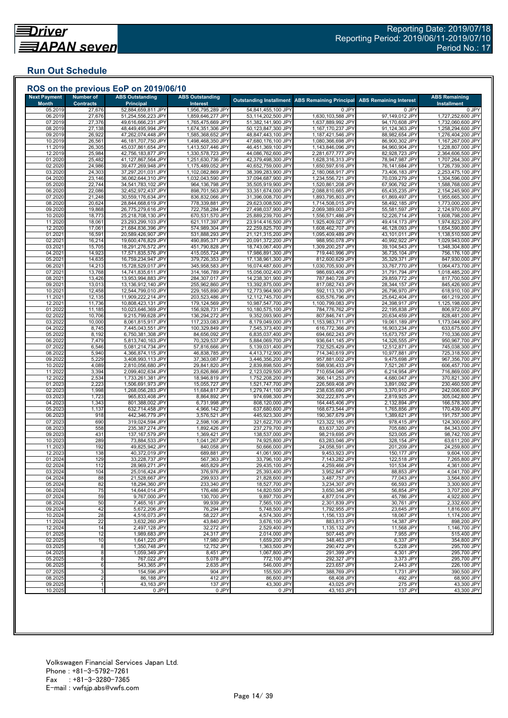## **Run Out Schedule**

| <b>Next Payment</b><br><b>Month</b> | <b>Number of</b><br><b>Contracts</b> | <b>ABS Outstanding</b><br><b>Principal</b> | <b>ABS Outstanding</b><br><b>Interest</b> |                                          | <b>Outstanding Installment ABS Remaining Principal</b> | <b>ABS Remaining Interest</b>    | <b>ABS Remaining</b><br><b>Installment</b> |
|-------------------------------------|--------------------------------------|--------------------------------------------|-------------------------------------------|------------------------------------------|--------------------------------------------------------|----------------------------------|--------------------------------------------|
| 05.2019                             | 27,676                               | 52,884,659,811 JPY                         | 1,956,795,289 JPY                         | 54,841,455,100 JPY                       | 0 JPY                                                  | 0 JPY                            | 0 JPY                                      |
| 06.2019                             | 27,676                               | 51,254,556,223 JPY                         | 1,859,646,277 JPY                         | 53,114,202,500 JPY                       | 1,630,103,588 JPY                                      | 97,149,012 JPY                   | 1,727,252,600 JPY                          |
| 07.2019                             | 27,376                               | 49,616,666,231 JPY                         | 1,765,475,669 JPY                         | 51,382,141,900 JPY                       | 1,637,889,992 JPY                                      | 94,170,608 JPY                   | 1,732,060,600 JPY                          |
| 08.2019                             | 27,138                               | 48,449,495,994 JPY                         | 1,674,351,306 JPY                         | 50,123,847,300 JPY                       | 1,167,170,237 JPY                                      | 91,124,363 JPY                   | 1,258,294,600 JPY                          |
| 09.2019                             | 26,922                               | 47,262,074,448 JPY                         | 1,585,368,652 JPY                         | 48,847,443,100 JPY                       | 1,187,421,546 JPY                                      | 88,982,654 JPY                   | 1,276,404,200 JPY                          |
| 10.2019                             | 26,561                               | 46,181,707,750 JPY                         | 1,498,468,350 JPY                         | 47,680,176,100 JPY                       | 1,080,366,698 JPY                                      | 86,900,302 JPY<br>84,960,904 JPY | 1,167,267,000 JPY<br>1,228,807,000 JPY     |
| 11.2019<br>12.2019                  | 26,305<br>25,984                     | 45,037,861,654 JPY<br>42,756,183,877 JPY   | 1,413,507,446 JPY<br>1,330,578,723 JPY    | 46,451,369,100 JPY<br>44,086,762,600 JPY | 1,143,846,096 JPY<br>2,281,677,777 JPY                 | 82,928,723 JPY                   | 2,364,606,500 JPY                          |
| 01.2020                             | 25,482                               | 41,127,867,564 JPY                         | 1,251,630,736 JPY                         | 42,379,498,300 JPY                       | 1,628,316,313 JPY                                      | 78,947,987 JPY                   | 1,707,264,300 JPY                          |
| 02.2020                             | 24,986                               | 39,477,269,948 JPY                         | 1,175,489,052 JPY                         | 40,652,759,000 JPY                       | 1,650,597,616 JPY                                      | 76,141,684 JPY                   | 1,726,739,300 JPY                          |
| 03.2020                             | 24,303                               | 37,297,201,031 JPY                         | 1,102,082,869 JPY                         | 38,399,283,900 JPY                       | 2,180,068,917 JPY                                      | 73,406,183 JPY                   | 2,253,475,100 JPY                          |
| 04.2020                             | 23,146                               | 36,062,644,310 JPY                         | 1,032,043,590 JPY                         | 37,094,687,900 JPY                       | 1,234,556,721 JPY                                      | 70,039,279 JPY                   | 1,304,596,000 JPY                          |
| 05.2020                             | 22,744                               | 34,541,783,102 JPY                         | 964,136,798 JPY                           | 35,505,919,900 JPY                       | 1,520,861,208 JPY                                      | 67,906,792 JPY                   | 1,588,768,000 JPY                          |
| 06.2020<br>07.2020                  | 22,086<br>21,248                     | 32,452,972,437 JPY<br>30,559,176,634 JPY   | 898,701,563 JPY<br>836,832,066 JPY        | 33,351,674,000 JPY<br>31,396,008,700 JPY | 2,088,810,665 JPY<br>1,893,795,803 JPY                 | 65,435,235 JPY<br>61,869,497 JPY | 2,154,245,900 JPY<br>1,955,665,300 JPY     |
| 08.2020                             | 20,624                               | 28,844,668,619 JPY                         | 778,339,881 JPY                           | 29,623,008,500 JPY                       | 1,714,508,015 JPY                                      | 58,492,185 JPY                   | 1,773,000,200 JPY                          |
| 09.2020                             | 19,868                               | 26,775,279,616 JPY                         | 722,758,284 JPY                           | 27,498,037,900 JPY                       | 2,069,389,003 JPY                                      | 55,581,597 JPY                   | 2,124,970,600 JPY                          |
| 10.2020                             | 18,773                               | 25,218,708,130 JPY                         | 670,531,570 JPY                           | 25,889,239,700 JPY                       | 1,556,571,486 JPY                                      | 52,226,714 JPY                   | 1,608,798,200 JPY                          |
| 11.2020                             | 18,061                               | 23,293,299,103 JPY                         | 621,117,397 JPY                           | 23,914,416,500 JPY                       | 1,925,409,027 JPY                                      | 49,414,173 JPY                   | 1,974,823,200 JPY                          |
| 12.2020                             | 17,061                               | 21,684,836,396 JPY                         | 574,989,304 JPY                           | 22,259,825,700 JPY                       | 1,608,462,707 JPY                                      | 46,128,093 JPY                   | 1,654,590,800 JPY                          |
| 01.2021                             | 16,591                               | 20,589,426,907 JPY                         | 531,888,293 JPY                           | 21,121,315,200 JPY                       | 1,095,409,489 JPY                                      | 43,101,011 JPY                   | 1,138,510,500 JPY                          |
| 02.2021<br>03.2021                  | 16,214<br>15,705                     | 19,600,476,829 JPY<br>18,291,276,572 JPY   | 490,895,371 JPY<br>451,790,828 JPY        | 20,091,372,200 JPY<br>18,743,067,400 JPY | 988,950,078 JPY<br>1,309,200,257 JPY                   | 40,992,922 JPY<br>39,104,543 JPY | 1,029,943,000 JPY<br>1,348,304,800 JPY     |
| 04.2021                             | 14,923                               | 17,571,835,576 JPY                         | 415,055,724 JPY                           | 17,986,891,300 JPY                       | 719,440,996 JPY                                        | 36,735,104 JPY                   | 756,176,100 JPY                            |
| 05.202                              | 14,635                               | 16,759,234,947 JPY                         | 379.726.353 JPY                           | 17,138,961,300 JPY                       | 812,600,629 JPY                                        | 35,329,371 JPY                   | 847,930,000 JPY                            |
| 06.202                              | 14,213                               | 15,728,529,017 JPY                         | 345,958,583 JPY                           | 16,074,487,600 JPY                       | 1,030,705,930 JPY                                      | 33,767,770 JPY                   | 1,064,473,700 JPY                          |
| 07.202                              | 13,768                               | 14,741,835,611 JPY                         | 314,166,789 JPY                           | 15,056,002,400 JPY                       | 986,693,406 JPY                                        | 31,791,794 JPY                   | 1,018,485,200 JPY                          |
| 08.2021                             | 13,426                               | 13,953,994,883 JPY                         | 284,307,017 JPY                           | 14,238,301,900 JPY                       | 787,840,728 JPY                                        | 29,859,772 JPY                   | 817,700,500 JPY                            |
| 09.202                              | 13,013                               | 13,136,912,140 JPY                         | 255,962,860 JPY                           | 13,392,875,000 JPY                       | 817,082,743 JPY                                        | 28,344,157 JPY                   | 845,426,900 JPY                            |
| 10.202<br>11.202                    | 12,458<br>12,135                     | 12,544,799,010 JPY<br>11,909,222,214 JPY   | 229,165,890 JPY<br>203,523,486 JPY        | 12,773,964,900 JPY<br>12,112,745,700 JPY | 592,113,130 JPY<br>635,576,796 JPY                     | 26,796,970 JPY<br>25,642,404 JPY | 618,910,100 JPY<br>661,219,200 JPY         |
| 12.202                              | 11,736                               | 10,808,423,131 JPY                         | 179,124,569 JPY                           | 10,987,547,700 JPY                       | 1,100,799,083 JPY                                      | 24,398,917 JPY                   | 1,125,198,000 JPY                          |
| 01.2022                             | 11,185                               | 10,023,646,369 JPY                         | 156,928,731 JPY                           | 10,180,575,100 JPY                       | 784,776,762 JPY                                        | 22,195,838 JPY                   | 806,972,600 JPY                            |
| 02.202                              | 10,706                               | 9,215,799,628 JPY                          | 136,294,272 JPY                           | 9,352,093,900 JPY                        | 807,846,741 JPY                                        | 20,634,459 JPY                   | 828,481,200 JPY                            |
| 03.202                              | 10,000                               | 8,061,815,917 JPY                          | 117,233,083 JPY                           | 8,179,049,000 JPY                        | 1,153,983,711 JPY                                      | 19,061,189 JPY                   | 1,173,044,900 JPY                          |
| 04.2022                             | 8,745                                | 7,445,043,551 JPY                          | 100,329,849 JPY                           | 7,545,373,400 JPY                        | 616,772,366 JPY                                        | 16,903,234 JPY                   | 633,675,600 JPY                            |
| 05.2022                             | 8,192                                | 6,750,381,308 JPY                          | 84,656,092 JPY                            | 6,835,037,400 JPY                        | 694,662,243 JPY                                        | 15,673,757 JPY                   | 710,336,000 JPY                            |
| 06.2022<br>07.202                   | 7,479<br>6,546                       | 5,813,740,163 JPY<br>5,081,214,734 JPY     | 70,329,537 JPY<br>57,816,666 JPY          | 5,884,069,700 JPY<br>5,139,031,400 JPY   | 936,641,145 JPY<br>732,525,429 JPY                     | 14,326,555 JPY<br>12,512,871 JPY | 950,967,700 JPY<br>745,038,300 JPY         |
| 08.202                              | 5,940                                | 4,366,874,115 JPY                          | 46,838,785 JPY                            | 4,413,712,900 JPY                        | 714,340,619 JPY                                        | 10,977,881 JPY                   | 725,318,500 JPY                            |
| 09.2022                             | 5,229                                | 3,408,993,113 JPY                          | 37,363,087 JPY                            | 3,446,356,200 JPY                        | 957,881,002 JPY                                        | 9,475,698 JPY                    | 967,356,700 JPY                            |
| 10.2022                             | 4,089                                | 2,810,056,680 JPY                          | 29,841,820 JPY                            | 2,839,898,500 JPY                        | 598,936,433 JPY                                        | 7,521,267 JPY                    | 606,457,700 JPY                            |
| 11.202                              | 3,394                                | 2,099,402,634 JPY                          | 23,626,866 JPY                            | 2,123,029,500 JPY                        | 710,654,046 JPY                                        | 6,214,954 JPY                    | 716,869,000 JPY                            |
| 12.202                              | 2,534                                | 1,733,261,381 JPY                          | 18,946,819 JPY                            | 1,752,208,200 JPY                        | 366,141,253 JPY                                        | 4,680,047 JPY                    | 370,821,300 JPY                            |
| 01.202<br>02.2023                   | 2,223                                | 1,506,691,973 JPY<br>1,268,056,283 JPY     | 15,055,727 JPY<br>11,684,817 JPY          | 1,521,747,700 JPY                        | 226,569,408 JPY<br>238,635,690 JPY                     | 3,891,092 JPY<br>3,370,910 JPY   | 230,460,500 JPY<br>242,006,600 JPY         |
| 03.2023                             | 1,998<br>1,723                       | 965,833,408 JPY                            | 8,864,892 JPY                             | 1,279,741,100 JPY<br>974,698,300 JPY     | 302,222,875 JPY                                        | 2,819,925 JPY                    | 305,042,800 JPY                            |
| 04.202                              | 1,343                                | 801,388,002 JPY                            | 6,731,998 JPY                             | 808,120,000 JPY                          | 164,445,406 JPY                                        | 2,132,894 JPY                    | 166,578,300 JPY                            |
| 05.2023                             | 1,137                                | 632,714,458 JPY                            | 4,966,142 JPY                             | 637,680,600 JPY                          | 168,673,544 JPY                                        | 1,765,856 JPY                    | 170,439,400 JPY                            |
| 06.2023                             | 918                                  | 442,346,779 JPY                            | 3,576,521 JPY                             | 445,923,300 JPY                          | 190,367,679 JPY                                        | 1,389,621 JPY                    | 191,757,300 JPY                            |
| 07.2023                             | 690                                  | 319,024,594 JPY                            | 2,598,106 JPY                             | 321,622,700 JPY                          | 123,322,185 JPY                                        | 978,415 JPY                      | 124,300,600 JPY                            |
| 08.2023                             | 558                                  | 235,387,274 JPY                            | 1,892,426 JPY                             | 237,279,700 JPY                          | 83,637,320 JPY                                         | 705,680 JPY                      | 84,343,000 JPY                             |
| 09.202<br>10.2023                   | 431<br>289                           | 137,167,579 JPY<br>73,884,533 JPY          | 1,369,421 JPY<br>1,041,267 JPY            | 138,537,000 JPY<br>74,925,800 JPY        | 98,219,695 JPY<br>63,283,046 JPY                       | 523,005 JPY<br>328,154 JPY       | 98,742,700 JPY<br>63,611,200 JPY           |
| 11.2023                             | 192                                  | 49,825,942 JPY                             | 840,058 JPY                               | 50,666,000 JPY                           | 24,058,591 JPY                                         | 201,209 JPY                      | 24,259,800 JPY                             |
| 12.2023                             | 138                                  | 40,372,019 JPY                             | 689,881 JPY                               | 41,061,900 JPY                           | 9,453,923 JPY                                          | 150,177 JPY                      | 9,604,100 JPY                              |
| 01.2024                             | 129                                  | 33,228,737 JPY                             | 567,363 JPY                               | 33,796,100 JPY                           | 7,143,282 JPY                                          | 122,518 JPY                      | 7,265,800 JPY                              |
| 02.2024                             | 112                                  | 28,969,271 JPY                             | 465,829 JPY                               | 29,435,100 JPY                           | 4,259,466 JPY                                          | 101,534 JPY                      | 4,361,000 JPY                              |
| 03.2024                             | 104                                  | 25,016,424 JPY                             | 376,976 JPY                               | 25,393,400 JPY                           | 3,952,847 JPY                                          | 88,853 JPY                       | 4,041,700 JPY                              |
| 04.2024                             | 88                                   | 21,528,667 JPY                             | 299,933 JPY                               | 21,828,600 JPY                           | 3,487,757 JPY                                          | 77,043 JPY                       | 3,564,800 JPY                              |
| 05.2024<br>06.2024                  | 82<br>75                             | 18,294,360 JPY<br>14,644,014 JPY           | 233,340 JPY<br>176,486 JPY                | 18,527,700 JPY<br>14,820,500 JPY         | 3,234,307 JPY<br>3,650,346 JPY                         | 66,593 JPY<br>56,854 JPY         | 3,300,900 JPY<br>3,707,200 JPY             |
| 07.2024                             | 59                                   | 9,767,000 JPY                              | 130,700 JPY                               | 9,897,700 JPY                            | 4,877,014 JPY                                          | 45,786 JPY                       | 4,922,800 JPY                              |
| 08.2024                             | 50                                   | 7,465,161 JPY                              | 99,939 JPY                                | 7,565,100 JPY                            | 2,301,839 JPY                                          | 30,761 JPY                       | 2,332,600 JPY                              |
| 09.2024                             | 42                                   | 5,672,206 JPY                              | 76,294 JPY                                | 5,748,500 JPY                            | 1,792,955 JPY                                          | 23,645 JPY                       | 1.816.600 JPY                              |
| 10.2024                             | 28                                   | 4,516,073 JPY                              | 58,227 JPY                                | 4,574,300 JPY                            | 1,156,133 JPY                                          | 18,067 JPY                       | 1,174,200 JPY                              |
| 11.2024                             | 22                                   | 3.632.260 JPY                              | 43,840 JPY                                | 3,676,100 JPY                            | 883.813 JPY                                            | 14,387 JPY                       | 898,200 JPY                                |
| 12.2024                             | 14                                   | 2,497,128 JPY                              | 32,272 JPY                                | 2,529,400 JPY                            | 1,135,132 JPY                                          | 11,568 JPY                       | 1,146,700 JPY                              |
| 01.2025<br>02.2025                  | 12<br>10                             | 1,989,683 JPY<br>1,641,220 JPY             | 24,317 JPY<br>17,980 JPY                  | 2,014,000 JPY<br>1,659,200 JPY           | 507,445 JPY<br>348,463 JPY                             | 7,955 JPY<br>6,337 JPY           | 515,400 JPY<br>354,800 JPY                 |
| 03.2025                             | 8                                    | 1,350,748 JPY                              | 12,752 JPY                                | 1,363,500 JPY                            | 290,472 JPY                                            | 5,228 JPY                        | 295,700 JPY                                |
| 04.2025                             | 8                                    | 1.059.349 JPY                              | 8,451 JPY                                 | 1,067,800 JPY                            | 291,399 JPY                                            | 4.301 JPY                        | 295,700 JPY                                |
| 05.2025                             | 8                                    | 767,022 JPY                                | 5,078 JPY                                 | 772,100 JPY                              | 292,327 JPY                                            | 3,373 JPY                        | 295,700 JPY                                |
| 06.2025                             | $\overline{6}$                       | 543,365 JPY                                | 2,635 JPY                                 | 546,000 JPY                              | 223,657 JPY                                            | 2,443 JPY                        | 226,100 JPY                                |
| 07.2025                             | 3                                    | 154,596 JPY                                | 904 JPY                                   | 155,500 JPY                              | 388,769 JPY                                            | 1,731 JPY                        | 390,500 JPY                                |
| 08.2025                             | $\overline{2}$                       | 86,188 JPY                                 | 412 JPY                                   | 86,600 JPY                               | 68,408 JPY                                             | 492 JPY                          | 68,900 JPY                                 |
| 09.2025<br>10.2025                  |                                      | 43,163 JPY<br>0 JPY                        | 137 JPY<br>0 JPY                          | 43,300 JPY<br>0 JPY                      | 43,025 JPY<br>43,163 JPY                               | 275 JPY<br>137 JPY               | 43,300 JPY                                 |
|                                     |                                      |                                            |                                           |                                          |                                                        |                                  | 43,300 JPY                                 |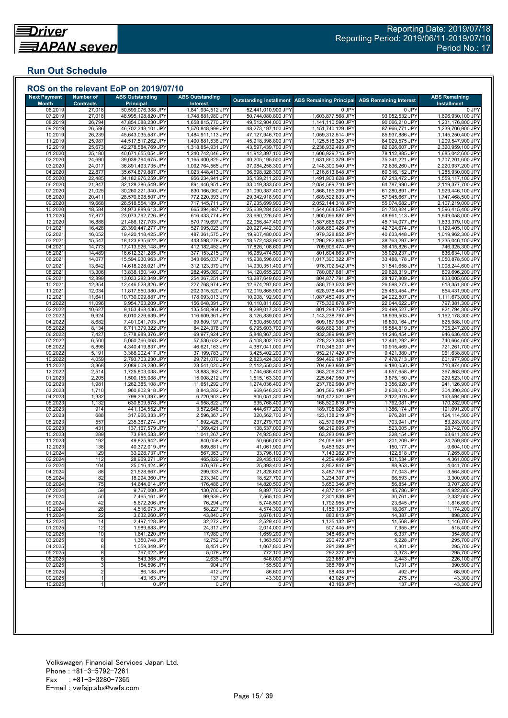## **Run Out Schedule**

| <b>Next Payment</b>     | <b>Number of</b>           | <b>ABS Outstanding</b>                   | <b>ABS Outstanding</b>                 |                                          | <b>Outstanding Installment ABS Remaining Principal</b> | <b>ABS Remaining Interest</b>    | <b>ABS Remaining</b>                   |
|-------------------------|----------------------------|------------------------------------------|----------------------------------------|------------------------------------------|--------------------------------------------------------|----------------------------------|----------------------------------------|
| <b>Month</b><br>06.2019 | <b>Contracts</b><br>27,018 | <b>Principal</b><br>50,599,076,388 JPY   | Interest<br>1,841,934,512 JPY          | 52,441,010,900 JPY                       | 0 JPY                                                  | 0 JPY                            | <b>Installment</b><br>0 JPY            |
| 07.2019                 | 27,018                     | 48,995,198,820 JPY                       | 1,748,881,980 JPY                      | 50,744,080,800 JPY                       | 1,603,877,568 JPY                                      | 93,052,532 JPY                   | 1,696,930,100 JPY                      |
| 08.2019                 | 26,794                     | 47,854,088,230 JPY                       | 1,658,815,770 JPY                      | 49,512,904,000 JPY                       | 1,141,110,590 JPY                                      | 90,066,210 JPY                   | 1,231,176,800 JPY                      |
| 09.2019<br>10.2019      | 26,586<br>26,239           | 46,702,348,101 JPY<br>45,643,035,587 JPY | 1,570,848,999 JPY<br>1,484,911,113 JPY | 48,273,197,100 JPY<br>47,127,946,700 JPY | 1,151,740,129 JPY<br>1,059,312,514 JPY                 | 87,966,771 JPY<br>85,937,886 JPY | 1,239,706,900 JPY                      |
| 11.2019                 | 25,987                     | 44,517,517,262 JPY                       | 1,400,881,538 JPY                      | 45,918,398,800 JPY                       | 1,125,518,325 JPY                                      | 84,029,575 JPY                   | 1,145,250,400 JPY<br>1,209,547,900 JPY |
| 12.2019                 | 25,673                     | 42,278,584,769 JPY                       | 1,318,854,931 JPY                      | 43,597,439,700 JPY                       | 2,238,932,493 JPY                                      | 82,026,607 JPY                   | 2,320,959,100 JPY                      |
| 01.2020                 | 25,180                     | 40,671,655,054 JPY                       | 1,240,742,046 JPY                      | 41,912,397,100 JPY                       | 1,606,929,715 JPY                                      | 78,112,885 JPY                   | 1,685,042,600 JPY                      |
| 02.2020                 | 24,690                     | 39,039,794,675 JPY                       | 1,165,400,825 JPY                      | 40,205,195,500 JPY                       | 1,631,860,379 JPY                                      | 75,341,221 JPY                   | 1,707,201,600 JPY                      |
| 03.2020<br>04.2020      | 24,017<br>22,877           | 36,891,493,735 JPY<br>35,674,879,887 JPY | 1,092,764,565 JPY<br>1,023,448,413 JPY | 37,984,258,300 JPY<br>36,698,328,300 JPY | 2,148,300,940 JPY<br>1,216,613,848 JPY                 | 72,636,260 JPY<br>69,316,152 JPY | 2,220,937,200 JPY<br>1,285,930,000 JPY |
| 05.2020                 | 22,485                     | 34,182,976,259 JPY                       | 956,234,941 JPY                        | 35,139,211,200 JPY                       | 1,491,903,628 JPY                                      | 67,213,472 JPY                   | 1,559,117,100 JPY                      |
| 06.2020                 | 21,847                     | 32,128,386,549 JPY                       | 891,446,951 JPY                        | 33,019,833,500 JPY                       | 2,054,589,710 JPY                                      | 64,787,990 JPY                   | 2,119,377,700 JPY                      |
| 07.2020                 | 21,025                     | 30,260,221,340 JPY                       | 830,166,060 JPY                        | 31,090,387,400 JPY                       | 1,868,165,209 JPY                                      | 61,280,891 JPY                   | 1,929,446,100 JPY                      |
| 08.2020                 | 20,411                     | 28,570,698,507 JPY                       | 772,220,393 JPY                        | 29,342,918,900 JPY                       | 1,689,522,833 JPY                                      | 57,945,667 JPY                   | 1,747,468,500 JPY                      |
| 09.2020<br>10.2020      | 19,668<br>18,584           | 26,518,554,189 JPY<br>24,973,889,613 JPY | 717,145,711 JPY<br>665,394,887 JPY     | 27,235,699,900 JPY<br>25,639,284,500 JPY | 2,052,144,318 JPY<br>1,544,664,576 JPY                 | 55,074,682 JPY<br>51,750,824 JPY | 2,107,219,000 JPY<br>1,596,415,400 JPY |
| 11.2020                 | 17,877                     | 23,073,792,726 JPY                       | 616,433,774 JPY                        | 23,690,226,500 JPY                       | 1,900,096,887 JPY                                      | 48,961,113 JPY                   | 1,949,058,000 JPY                      |
| 12.2020                 | 16,888                     | 21,486,127,703 JPY                       | 570,719,697 JPY                        | 22,056,847,400 JPY                       | 1,587,665,023 JPY                                      | 45,714,077 JPY                   | 1,633,379,100 JPY                      |
| 01.202                  | 16,428                     | 20,399,447,277 JPY                       | 527,995,023 JPY                        | 20,927,442,300 JPY                       | 1,086,680,426 JPY                                      | 42,724,674 JPY                   | 1,129,405,100 JPY                      |
| 02.2021                 | 16,052                     | 19,420,118,425 JPY                       | 487,361,575 JPY                        | 19,907,480,000 JPY                       | 979,328,852 JPY                                        | 40,633,448 JPY                   | 1,019,962,300 JPY                      |
| 03.2021<br>04.2021      | 15,547<br>14,773           | 18,123,835,622 JPY<br>17,413,926,148 JPY | 448,598,278 JPY<br>412,182,452 JPY     | 18,572,433,900 JPY<br>17,826,108,600 JPY | 1,296,282,803 JPY<br>709,909,474 JPY                   | 38,763,297 JPY<br>36,415,826 JPY | 1,335,046,100 JPY<br>746,325,300 JPY   |
| 05.2021                 | 14,489                     | 16,612,321,285 JPY                       | 377,153,215 JPY                        | 16,989,474,500 JPY                       | 801,604,863 JPY                                        | 35,029,237 JPY                   | 836,634,100 JPY                        |
| 06.202                  | 14,077                     | 15,594,930,963 JPY                       | 343,665,037 JPY                        | 15,938,596,000 JPY                       | 1,017,390,322 JPY                                      | 33,488,178 JPY                   | 1,050,878,500 JPY                      |
| 07.202                  | 13,642                     | 14,618,228,021 JPY                       | 312,123,379 JPY                        | 14,930,351,400 JPY                       | 976,702,942 JPY                                        | 31,541,658 JPY                   | 1,008,244,600 JPY                      |
| 08.202                  | 13,306                     | 13,838,160,140 JPY                       | 282,495,060 JPY                        | 14,120,655,200 JPY                       | 780,067,881 JPY                                        | 29,628,319 JPY                   | 809,696,200 JPY                        |
| 09.2021<br>10.202       | 12,899<br>12,354           | 13,033,282,349 JPY<br>12,446,528,826 JPY | 254,367,251 JPY<br>227,768,974 JPY     | 13,287,649,600 JPY<br>12,674,297,800 JPY | 804,877,791 JPY<br>586,753,523 JPY                     | 28,127,809 JPY<br>26,598,277 JPY | 833,005,600 JPY<br>613,351,800 JPY     |
| 11.202'                 | 12,034                     | 11,817,550,380 JPY                       | 202,315,520 JPY                        | 12,019,865,900 JPY                       | 628,978,446 JPY                                        | 25,453,454 JPY                   | 654,431,900 JPY                        |
| 12.202                  | 11,641                     | 10,730,099,887 JPY                       | 178,093,013 JPY                        | 10,908,192,900 JPY                       | 1,087,450,493 JPY                                      | 24,222,507 JPY                   | 1,111,673,000 JPY                      |
| 01.2022                 | 11,096                     | 9,954,763,209 JPY                        | 156,048,391 JPY                        | 10,110,811,600 JPY                       | 775,336,678 JPY                                        | 22,044,622 JPY                   | 797,381,300 JPY                        |
| 02.2022                 | 10,627                     | 9,153,468,436 JPY                        | 135,548,864 JPY                        | 9,289,017,300 JPY                        | 801,294,773 JPY                                        | 20,499,527 JPY                   | 821,794,300 JPY                        |
| 03.202<br>04.202        | 9,924<br>8,682             | 8,010,229,639 JPY<br>7,401,041,703 JPY   | 116,609,361 JPY<br>99,809,197 JPY      | 8,126,839,000 JPY<br>7,500,850,900 JPY   | 1,143,238,797 JPY<br>609,187,936 JPY                   | 18,939,503 JPY<br>16,800,164 JPY | 1,162,178,300 JPY<br>625,988,100 JPY   |
| 05.2022                 | 8,134                      | 6,711,379,322 JPY                        | 84,224,378 JPY                         | 6,795,603,700 JPY                        | 689,662,381 JPY                                        | 15,584,819 JPY                   | 705,247,200 JPY                        |
| 06.2022                 | 7,427                      | 5,778,989,376 JPY                        | 69,977,924 JPY                         | 5,848,967,300 JPY                        | 932,389,946 JPY                                        | 14,246,454 JPY                   | 946,636,400 JPY                        |
| 07.2022                 | 6,500                      | 5,050,766,068 JPY                        | 57,536,632 JPY                         | 5,108,302,700 JPY                        | 728,223,308 JPY                                        | 12,441,292 JPY                   | 740,664,600 JPY                        |
| 08.202<br>09.2022       | 5,898<br>5,191             | 4,340,419,837 JPY<br>3,388,202,417 JPY   | 46,621,163 JPY<br>37,199,783 JPY       | 4,387,041,000 JPY<br>3,425,402,200 JPY   | 710,346,231 JPY<br>952,217,420 JPY                     | 10,915,469 JPY<br>9,421,380 JPY  | 721,261,700 JPY<br>961,638,800 JPY     |
| 10.2022                 | 4,059                      | 2,793,703,230 JPY                        | 29,721,070 JPY                         | 2,823,424,300 JPY                        | 594,499,187 JPY                                        | 7,478,713 JPY                    | 601,977,900 JPY                        |
| 11.2022                 | 3,368                      | 2,089,009,280 JPY                        | 23,541,020 JPY                         | 2,112,550,300 JPY                        | 704,693,950 JPY                                        | 6,180,050 JPY                    | 710,874,000 JPY                        |
| 12.202                  | 2,514                      | 1,725,803,038 JPY                        | 18,883,362 JPY                         | 1,744,686,400 JPY                        | 363,206,242 JPY                                        | 4,657,658 JPY                    | 367,863,900 JPY                        |
| 01.202                  | 2,205                      | 1,500,155,088 JPY                        | 15,008,212 JPY                         | 1,515,163,300 JPY                        | 225,647,950 JPY                                        | 3,875,150 JPY                    | 229,523,100 JPY                        |
| 02.2023<br>03.2023      | 1,981<br>1,710             | 1,262,385,108 JPY<br>960,802,918 JPY     | 11,651,292 JPY<br>8,843,282 JPY        | 1,274,036,400 JPY<br>969,646,200 JPY     | 237,769,980 JPY<br>301,582,190 JPY                     | 3,356,920 JPY<br>2,808,010 JPY   | 241,126,900 JPY<br>304,390,200 JPY     |
| 04.2023                 | 1,332                      | 799,330,397 JPY                          | 6,720,903 JPY                          | 806,051,300 JPY                          | 161,472,521 JPY                                        | 2,122,379 JPY                    | 163,594,900 JPY                        |
| 05.2023                 | 1,132                      | 630,809,578 JPY                          | 4,958,822 JPY                          | 635,768,400 JPY                          | 168,520,819 JPY                                        | 1,762,081 JPY                    | 170,282,900 JPY                        |
| 06.2023                 | 914                        | 441,104,552 JPY                          | 3,572,648 JPY                          | 444,677,200 JPY                          | 189,705,026 JPY                                        | 1,386,174 JPY                    | 191,091,200 JPY                        |
| 07.2023                 | 688                        | 317,966,333 JPY                          | 2,596,367 JPY                          | 320,562,700 JPY                          | 123,138,219 JPY                                        | 976,281 JPY                      | 124,114,500 JPY                        |
| 08.2023<br>09.2023      | 557<br>431                 | 235,387,274 JPY<br>137,167,579 JPY       | 1,892,426 JPY<br>1,369,421 JPY         | 237,279,700 JPY<br>138,537,000 JPY       | 82,579,059 JPY<br>98,219,695 JPY                       | 703,941 JPY<br>523,005 JPY       | 83,283,000 JPY<br>98,742,700 JPY       |
| 10.202                  | 289                        | 73,884,533 JPY                           | 1,041,267 JPY                          | 74,925,800 JPY                           | 63,283,046 JPY                                         | 328,154 JPY                      | 63,611,200 JPY                         |
| 11.2023                 | 192                        | 49,825,942 JPY                           | 840,058 JPY                            | 50,666,000 JPY                           | 24,058,591 JPY                                         | 201,209 JPY                      | 24,259,800 JPY                         |
| 12.2023                 | 138                        | 40,372,019 JPY                           | 689,881 JPY                            | 41,061,900 JPY                           | 9,453,923 JPY                                          | 150,177 JPY                      | 9,604,100 JPY                          |
| 01.2024                 | 129                        | 33.228.737 JPY                           | 567,363 JPY                            | 33,796,100 JPY                           | 7,143,282 JPY                                          | 122.518 JPY                      | 7,265,800 JPY                          |
| 02.2024<br>03.2024      | 112<br>104                 | 28,969,271 JPY<br>25,016,424 JPY         | 465,829 JPY<br>376,976 JPY             | 29,435,100 JPY<br>25,393,400 JPY         | 4,259,466 JPY<br>3,952,847 JPY                         | 101,534 JPY<br>88,853 JPY        | 4,361,000 JPY<br>4,041,700 JPY         |
| 04.2024                 | 88                         | 21,528,667 JPY                           | 299,933 JPY                            | 21,828,600 JPY                           | 3,487,757 JPY                                          | 77,043 JPY                       | 3,564,800 JPY                          |
| 05.2024                 | 82                         | 18,294,360 JPY                           | 233,340 JPY                            | 18,527,700 JPY                           | 3,234,307 JPY                                          | 66,593 JPY                       | 3,300,900 JPY                          |
| 06.2024                 | 75                         | 14,644,014 JPY                           | 176,486 JPY                            | 14,820,500 JPY                           | 3,650,346 JPY                                          | 56,854 JPY                       | 3,707,200 JPY                          |
| 07.2024                 | 59                         | 9,767,000 JPY                            | 130,700 JPY                            | 9,897,700 JPY                            | 4,877,014 JPY                                          | 45,786 JPY                       | 4,922,800 JPY                          |
| 08.2024<br>09.2024      | 50<br>42                   | 7,465,161 JPY<br>5,672,206 JPY           | 99,939 JPY<br>76,294 JPY               | 7,565,100 JPY<br>5,748,500 JPY           | 2,301,839 JPY<br>1,792,955 JPY                         | 30,761 JPY<br>23,645 JPY         | 2,332,600 JPY<br>1,816,600 JPY         |
| 10.2024                 | 28                         | 4,516,073 JPY                            | 58,227 JPY                             | 4,574,300 JPY                            | 1,156,133 JPY                                          | 18,067 JPY                       | 1,174,200 JPY                          |
| 11.2024                 | 22                         | 3,632,260 JPY                            | 43,840 JPY                             | 3,676,100 JPY                            | 883,813 JPY                                            | 14,387 JPY                       | 898,200 JPY                            |
| 12.2024                 | 14                         | 2,497,128 JPY                            | 32,272 JPY                             | 2,529,400 JPY                            | 1,135,132 JPY                                          | 11,568 JPY                       | 1,146,700 JPY                          |
| 01.2025                 | 12                         | 1,989,683 JPY                            | 24,317 JPY                             | 2,014,000 JPY                            | 507,445 JPY                                            | 7,955 JPY                        | 515,400 JPY                            |
| 02.2025<br>03.2025      | 10<br>8                    | 1,641,220 JPY<br>1,350,748 JPY           | 17,980 JPY<br>12,752 JPY               | 1,659,200 JPY<br>1,363,500 JPY           | 348,463 JPY<br>290,472 JPY                             | 6,337 JPY<br>5,228 JPY           | 354,800 JPY<br>295,700 JPY             |
| 04.2025                 | 8                          | 1,059,349 JPY                            | 8,451 JPY                              | 1,067,800 JPY                            | 291,399 JPY                                            | 4,301 JPY                        | 295,700 JPY                            |
| 05.2025                 | 8                          | 767,022 JPY                              | 5,078 JPY                              | 772,100 JPY                              | 292,327 JPY                                            | 3,373 JPY                        | 295,700 JPY                            |
| 06.2025                 | 6                          | 543,365 JPY                              | 2,635 JPY                              | 546,000 JPY                              | 223,657 JPY                                            | 2,443 JPY                        | 226,100 JPY                            |
| 07.2025                 | 3                          | 154,596 JPY                              | 904 JPY                                | 155,500 JPY                              | 388,769 JPY                                            | 1,731 JPY                        | 390,500 JPY                            |
| 08.2025                 | $\overline{2}$             | 86,188 JPY<br>43,163 JPY                 | 412 JPY<br>137 JPY                     | 86,600 JPY<br>43,300 JPY                 | 68,408 JPY<br>43,025 JPY                               | 492 JPY<br>275 JPY               | 68,900 JPY<br>43,300 JPY               |
| 09.2025                 |                            |                                          |                                        |                                          |                                                        |                                  |                                        |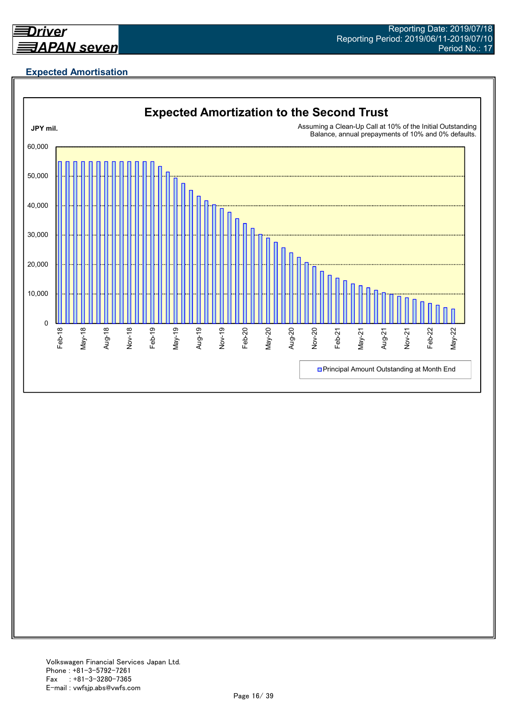

## **Expected Amortisation**

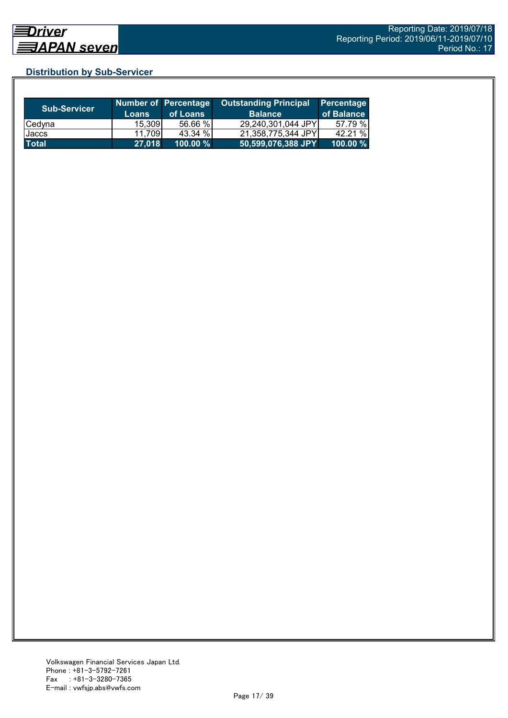## **Distribution by Sub-Servicer**

| <b>Sub-Servicer</b> | Loans  | Number of Percentage<br>of Loans | <b>Outstanding Principal</b><br><b>Balance</b> | Percentage<br>of Balance |
|---------------------|--------|----------------------------------|------------------------------------------------|--------------------------|
| Cedyna              | 15,309 | 56.66 %                          | 29,240,301,044 JPY                             | 57.79 %                  |
| Jaccs               | 11,709 | 43.34 %                          | 21,358,775,344 JPY                             | 42.21 %                  |
| <b>Total</b>        | 27,018 | 100.00 %                         | 50,599,076,388 JPY                             | 100.00 $%$               |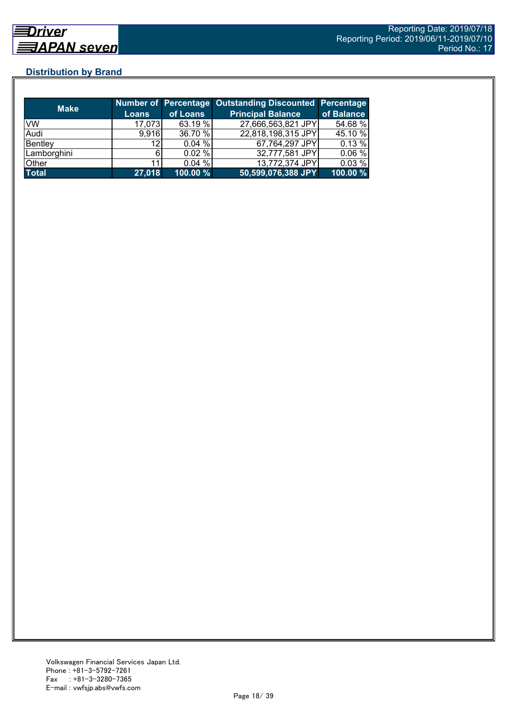## **Distribution by Brand**

| <b>Make</b>  |                 |          | Number of Percentage Outstanding Discounted Percentage |            |
|--------------|-----------------|----------|--------------------------------------------------------|------------|
|              | <b>Loans</b>    | of Loans | <b>Principal Balance</b>                               | of Balance |
| <b>VW</b>    | 17,073          | 63.19 %  | 27,666,563,821 JPY                                     | 54.68 %    |
| Audi         | 9,916           | 36.70 %  | 22,818,198,315 JPY                                     | 45.10 %    |
| Bentley      | 12 <sub>1</sub> | 0.04%    | 67,764,297 JPY                                         | 0.13 %     |
| Lamborghini  |                 | 0.02%    | 32,777,581 JPY                                         | 0.06%      |
| Other        |                 | 0.04%    | 13,772,374 JPY                                         | 0.03%      |
| <b>Total</b> | 27,018          | 100.00 % | 50,599,076,388 JPY                                     | 100.00 %   |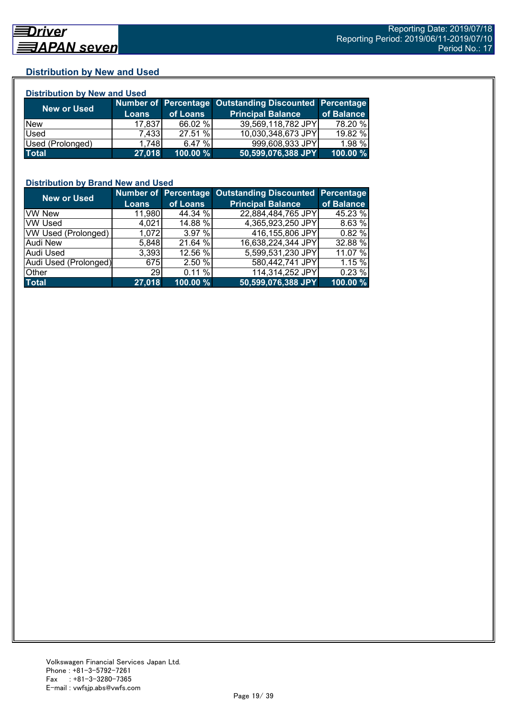## **Distribution by New and Used**

| <b>Distribution by New and Used</b> |              |          |                                                        |            |  |  |
|-------------------------------------|--------------|----------|--------------------------------------------------------|------------|--|--|
|                                     |              |          | Number of Percentage Outstanding Discounted Percentage |            |  |  |
| <b>New or Used</b>                  | <b>Loans</b> | of Loans | <b>Principal Balance</b>                               | of Balance |  |  |
| <b>New</b>                          | 17,837       | 66.02 %  | 39,569,118,782 JPY                                     | 78.20 %    |  |  |
| Used                                | 7.433        | 27.51 %  | 10,030,348,673 JPY                                     | 19.82 %    |  |  |
| Used (Prolonged)                    | 1.748        | 6.47%    | 999,608,933 JPY                                        | 1.98 %     |  |  |
| <b>Total</b>                        | 27,018       | 100.00 % | 50,599,076,388 JPY                                     | 100.00 %   |  |  |

## **Distribution by Brand New and Used**

| <b>New or Used</b>    |              |          | Number of Percentage Outstanding Discounted Percentage |            |
|-----------------------|--------------|----------|--------------------------------------------------------|------------|
|                       | <b>Loans</b> | of Loans | <b>Principal Balance</b>                               | of Balance |
| <b>VW New</b>         | 11,980       | 44.34 %  | 22,884,484,765 JPY                                     | 45.23 %    |
| <b>VW Used</b>        | 4,021        | 14.88 %  | 4,365,923,250 JPY                                      | 8.63%      |
| VW Used (Prolonged)   | 1,072        | 3.97%    | 416,155,806 JPY                                        | 0.82%      |
| <b>Audi New</b>       | 5,848        | 21.64 %  | 16,638,224,344 JPY                                     | 32.88 %    |
| Audi Used             | 3.393        | 12.56 %  | 5,599,531,230 JPY                                      | 11.07 %    |
| Audi Used (Prolonged) | 675          | 2.50 %   | 580,442,741 JPY                                        | 1.15 %     |
| Other                 | <b>29</b>    | 0.11%    | 114,314,252 JPY                                        | 0.23%      |
| <b>Total</b>          | 27,018       | 100.00 % | 50,599,076,388 JPY                                     | 100.00 %   |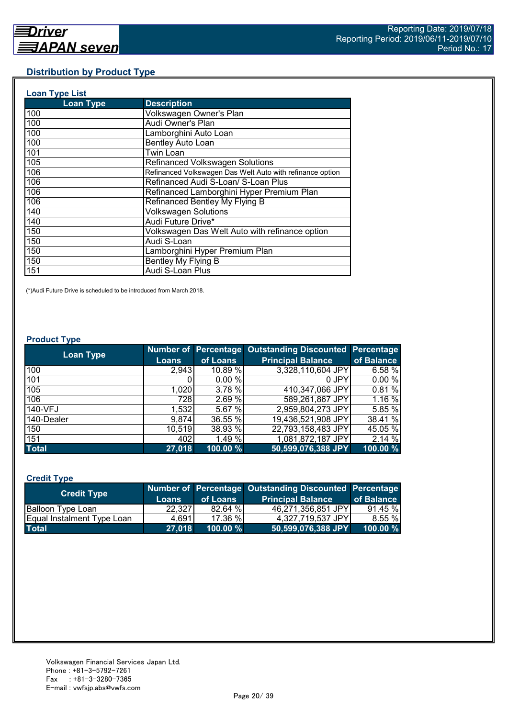## **Distribution by Product Type**

| <b>Loan Type List</b> |                                                           |
|-----------------------|-----------------------------------------------------------|
| <b>Loan Type</b>      | <b>Description</b>                                        |
| 100                   | Volkswagen Owner's Plan                                   |
| 100                   | Audi Owner's Plan                                         |
| 100                   | Lamborghini Auto Loan                                     |
| 100                   | <b>Bentley Auto Loan</b>                                  |
| 101                   | Twin Loan                                                 |
| 105                   | Refinanced Volkswagen Solutions                           |
| 106                   | Refinanced Volkswagen Das Welt Auto with refinance option |
| 106                   | Refinanced Audi S-Loan/ S-Loan Plus                       |
| 106                   | Refinanced Lamborghini Hyper Premium Plan                 |
| 106                   | Refinanced Bentley My Flying B                            |
| 140                   | <b>Volkswagen Solutions</b>                               |
| 140                   | Audi Future Drive*                                        |
| 150                   | Volkswagen Das Welt Auto with refinance option            |
| 150                   | Audi S-Loan                                               |
| 150                   | Lamborghini Hyper Premium Plan                            |
| 150                   | Bentley My Flying B                                       |
| 151                   | Audi S-Loan Plus                                          |

(\*)Audi Future Drive is scheduled to be introduced from March 2018.

#### **Product Type**

| <b>Loan Type</b> |              |          | Number of Percentage Outstanding Discounted Percentage |            |
|------------------|--------------|----------|--------------------------------------------------------|------------|
|                  | <b>Loans</b> | of Loans | <b>Principal Balance</b>                               | of Balance |
| 100              | 2,943        | 10.89 %  | 3,328,110,604 JPY                                      | 6.58 %     |
| 101              |              | 0.00%    | 0 JPY                                                  | 0.00%      |
| 105              | 1,020        | 3.78 %   | 410,347,066 JPY                                        | 0.81%      |
| 106              | 7281         | 2.69 %   | 589,261,867 JPY                                        | 1.16 %     |
| 140-VFJ          | 1,532        | 5.67 %   | 2,959,804,273 JPY                                      | 5.85 %     |
| 140-Dealer       | 9,874        | 36.55 %  | 19,436,521,908 JPY                                     | 38.41 %    |
| 150              | 10,519       | 38.93 %  | 22,793,158,483 JPY                                     | 45.05 %    |
| 151              | 402          | 1.49 %   | 1,081,872,187 JPY                                      | 2.14 %     |
| <b>Total</b>     | 27,018       | 100.00 % | 50,599,076,388 JPY                                     | 100.00 %   |

## **Credit Type**

| <b>Credit Type</b>         |         |             | Number of Percentage Outstanding Discounted Percentage |            |
|----------------------------|---------|-------------|--------------------------------------------------------|------------|
|                            | Loans   | of Loans    | <b>Principal Balance</b>                               | of Balance |
| <b>Balloon Type Loan</b>   | 22.3271 | 82.64 %     | 46,271,356,851 JPY                                     | 91.45 %    |
| Equal Instalment Type Loan | 4.6911  | 17.36 %     | 4,327,719,537 JPY                                      | 8.55%      |
| <b>Total</b>               | 27,018  | $100.00 \%$ | 50,599,076,388 JPY                                     | 100.00 %   |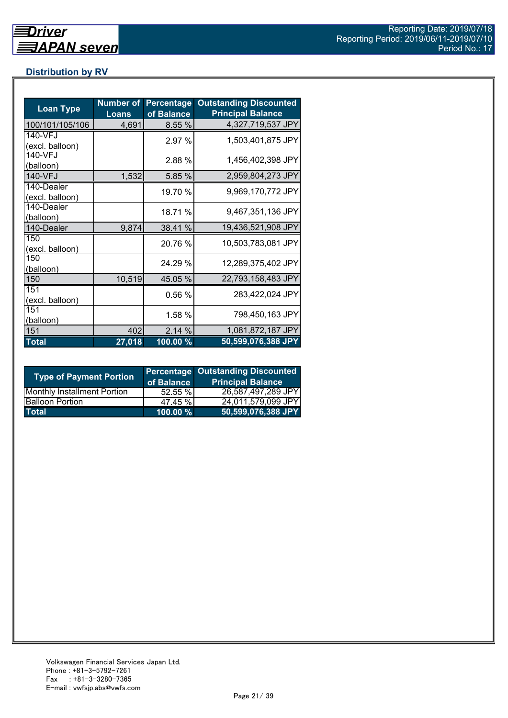## **Distribution by RV**

| <b>Loan Type</b>              | <b>Number of</b><br><b>Loans</b> | <b>Percentage</b><br>of Balance | <b>Outstanding Discounted</b><br><b>Principal Balance</b> |
|-------------------------------|----------------------------------|---------------------------------|-----------------------------------------------------------|
| 100/101/105/106               | 4,691                            | 8.55 %                          | 4,327,719,537 JPY                                         |
| 140-VFJ<br>(excl. balloon)    |                                  | 2.97 %                          | 1,503,401,875 JPY                                         |
| 140-VFJ<br>(balloon)          |                                  | 2.88 %                          | 1,456,402,398 JPY                                         |
| 140-VFJ                       | 1,532                            | 5.85 %                          | 2,959,804,273 JPY                                         |
| 140-Dealer<br>(excl. balloon) |                                  | 19.70 %                         | 9,969,170,772 JPY                                         |
| 140-Dealer<br>(balloon)       |                                  | 18.71 %                         | 9,467,351,136 JPY                                         |
| 140-Dealer                    | 9,874                            | 38.41 %                         | 19,436,521,908 JPY                                        |
| 150<br>(excl. balloon)        |                                  | 20.76 %                         | 10,503,783,081 JPY                                        |
| 150<br>(balloon)              |                                  | 24.29 %                         | 12,289,375,402 JPY                                        |
| 150                           | 10,519                           | 45.05 %                         | 22,793,158,483 JPY                                        |
| 151<br>(excl. balloon)        |                                  | 0.56%                           | 283,422,024 JPY                                           |
| 151<br>(balloon)              |                                  | 1.58 %                          | 798,450,163 JPY                                           |
| 151                           | 402                              | 2.14%                           | 1,081,872,187 JPY                                         |
| <b>Total</b>                  | 27,018                           | 100.00 %                        | 50,599,076,388 JPY                                        |

| <b>Type of Payment Portion</b>     | of Balance | <b>Percentage Outstanding Discounted</b><br><b>Principal Balance</b> |
|------------------------------------|------------|----------------------------------------------------------------------|
| <b>Monthly Installment Portion</b> | 52.55%     | 26,587,497,289 JPY                                                   |
| <b>Balloon Portion</b>             | 47.45 %    | 24,011,579,099 JPY                                                   |
| <b>Total</b>                       | 100.00 %   | 50,599,076,388 JPY                                                   |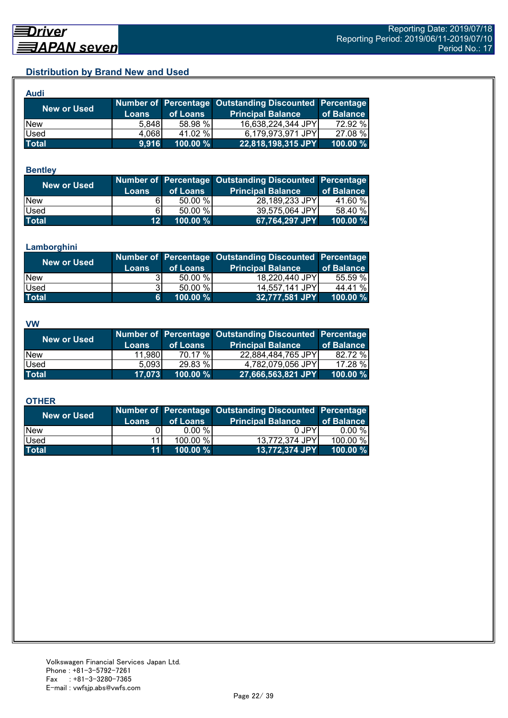## **Distribution by Brand New and Used**

| Audi         |       |          |                                                        |             |
|--------------|-------|----------|--------------------------------------------------------|-------------|
| New or Used  |       |          | Number of Percentage Outstanding Discounted Percentage |             |
|              | Loans | of Loans | <b>Principal Balance</b>                               | of Balance  |
| <b>New</b>   | 5.848 | 58.98 %  | 16,638,224,344 JPY                                     | 72.92 %     |
| Used         | 4,068 | 41.02 %  | 6,179,973,971 JPY                                      | 27.08 %     |
| <b>Total</b> | 9,916 | 100.00 % | 22,818,198,315 JPY                                     | $100.00 \%$ |

#### **Bentley**

| New or Used  | Loans           | of Loans | Number of Percentage Outstanding Discounted Percentage<br><b>Principal Balance</b> | of Balance |
|--------------|-----------------|----------|------------------------------------------------------------------------------------|------------|
| <b>New</b>   |                 | 50.00 %  | 28,189,233 JPY                                                                     | 41.60 %    |
| <b>Used</b>  | 61              | 50.00 %  | 39,575,064 JPY                                                                     | 58.40 %    |
| <b>Total</b> | 12 <sup>1</sup> | 100.00 % | 67,764,297 JPY                                                                     | 100.00 %   |

#### **Lamborghini**

| New or Used  | <b>Loans</b> | of Loans | Number of Percentage Outstanding Discounted Percentage<br><b>Principal Balance</b> | of Balance |
|--------------|--------------|----------|------------------------------------------------------------------------------------|------------|
| <b>New</b>   |              | 50.00 %  | 18,220,440 JPY                                                                     | 55.59 %    |
| <b>Used</b>  | 31           | 50.00 %  | 14,557,141 JPY                                                                     | 44.41 %    |
| <b>Total</b> | 61           | 100.00 % | 32,777,581 JPY                                                                     | 100.00 $%$ |

#### **VW**

| <b>New or Used</b> |              |          | Number of Percentage Outstanding Discounted Percentage |            |
|--------------------|--------------|----------|--------------------------------------------------------|------------|
|                    | <b>Loans</b> | of Loans | <b>Principal Balance</b>                               | of Balance |
| <b>New</b>         | 11,980       | 70.17 %  | 22,884,484,765 JPY                                     | 82.72 %    |
| <b>Used</b>        | 5.093        | 29.83 %  | 4,782,079,056 JPY                                      | 17.28 %    |
| <b>Total</b>       | 17,073       | 100.00 % | 27,666,563,821 JPY                                     | 100.00 %   |

#### **OTHER**

| <b>New or Used</b> | <b>Loans</b>    | of Loans  | Number of Percentage Outstanding Discounted Percentage<br><b>Principal Balance</b> | of Balance |
|--------------------|-----------------|-----------|------------------------------------------------------------------------------------|------------|
| <b>New</b>         |                 | $0.00 \%$ | 0 JPY                                                                              | $0.00 \%$  |
| Used               | 11              | 100.00 %  | 13,772,374 JPY                                                                     | 100.00 %   |
| <b>Total</b>       | 11 <sup>1</sup> | 100.00 %  | 13,772,374 JPY                                                                     | 100.00 $%$ |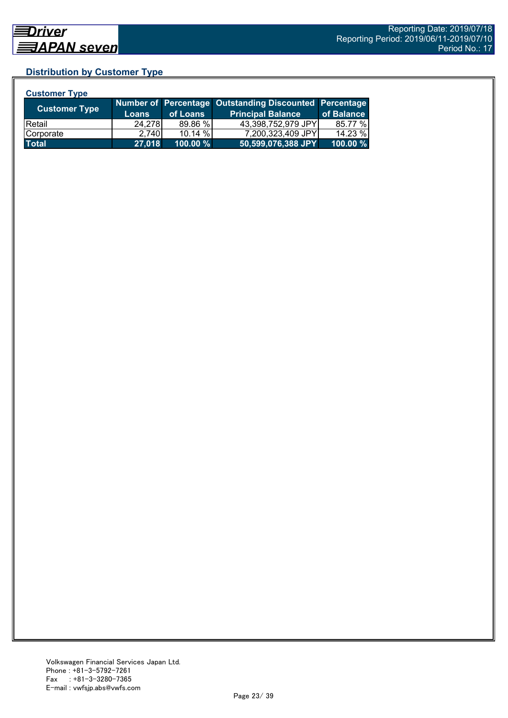## **Distribution by Customer Type**

| <b>Customer Type</b> |              |          |                                                        |            |
|----------------------|--------------|----------|--------------------------------------------------------|------------|
| <b>Customer Type</b> |              |          | Number of Percentage Outstanding Discounted Percentage |            |
|                      | <b>Loans</b> | of Loans | <b>Principal Balance</b>                               | of Balance |
| l Retail             | 24.278       | 89.86 %  | 43,398,752,979 JPY                                     | 85.77 %    |
| Corporate            | 2.740        | 10.14 %  | 7,200,323,409 JPY                                      | 14.23 %    |
| <b>Total</b>         | 27,018       | 100.00 % | 50,599,076,388 JPY                                     | 100.00 %   |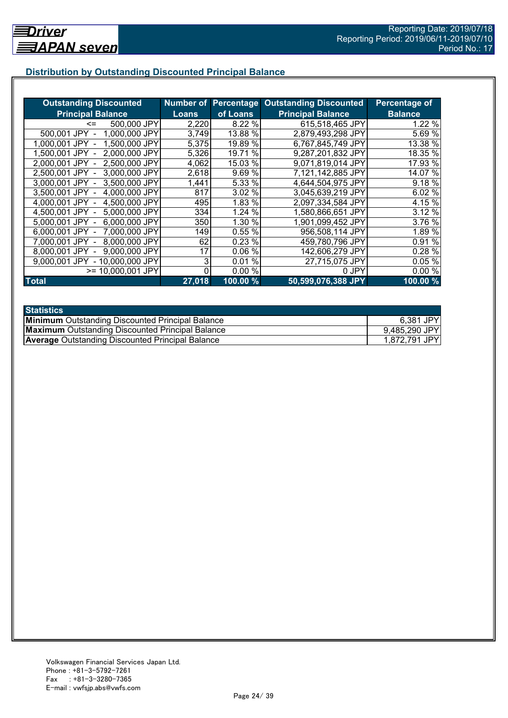## **Distribution by Outstanding Discounted Principal Balance**

| <b>Outstanding Discounted</b>     |              |           | <b>Number of Percentage Outstanding Discounted</b> | Percentage of  |
|-----------------------------------|--------------|-----------|----------------------------------------------------|----------------|
| <b>Principal Balance</b>          | <b>Loans</b> | of Loans  | <b>Principal Balance</b>                           | <b>Balance</b> |
| 500,000 JPY<br><=                 | 2,220        | 8.22 %    | 615,518,465 JPY                                    | 1.22 %         |
| 1,000,000 JPY<br>500,001 JPY      | 3,749        | 13.88 %   | 2,879,493,298 JPY                                  | 5.69 %         |
| 1,500,000 JPY<br>1.000.001 JPY    | 5,375        | 19.89 %   | 6,767,845,749 JPY                                  | 13.38 %        |
| 2,000,000 JPY<br>1.500.001 JPY -  | 5,326        | 19.71 %   | 9,287,201,832 JPY                                  | 18.35 %        |
| 2,500,000 JPY<br>2.000.001 JPY -  | 4,062        | 15.03 %   | 9,071,819,014 JPY                                  | 17.93 %        |
| 3,000,000 JPY<br>2,500,001 JPY -  | 2,618        | 9.69%     | 7,121,142,885 JPY                                  | 14.07 %        |
| 3,000,001 JPY -<br>3,500,000 JPY  | 1,441        | 5.33 %    | 4,644,504,975 JPY                                  | 9.18 %         |
| 3.500,001 JPY -<br>4,000,000 JPY  | 817          | 3.02 %    | 3,045,639,219 JPY                                  | 6.02 %         |
| 4,000,001 JPY -<br>4,500,000 JPY  | 495          | 1.83 %    | 2.097,334,584 JPY                                  | 4.15 %         |
| 4,500,001 JPY -<br>5,000,000 JPY  | 334          | 1.24 %    | 1,580,866,651 JPY                                  | 3.12%          |
| 6,000,000 JPY<br>5,000,001 JPY -  | 350          | 1.30 %    | 1,901,099,452 JPY                                  | 3.76 %         |
| 7,000,000 JPY<br>6,000,001 JPY -  | 149          | 0.55%     | 956,508,114 JPY                                    | 1.89 %         |
| 8,000,000 JPY<br>7.000.001 JPY -  | 62           | 0.23%     | 459,780,796 JPY                                    | 0.91 %         |
| 9,000,000 JPY<br>8,000,001 JPY    | 17           | 0.06%     | 142,606,279 JPY                                    | 0.28 %         |
| - 10,000,000 JPY<br>9.000.001 JPY | 3            | %<br>0.01 | 27,715,075 JPY                                     | 0.05 %         |
| >= 10,000,001 JPY                 |              | 0.00%     | 0 JPY                                              | 0.00%          |
| <b>Total</b>                      | 27,018       | 100.00%   | 50,599,076,388 JPY                                 | 100.00%        |

| <b>Statistics</b>                                       |               |
|---------------------------------------------------------|---------------|
| <b>Minimum</b> Outstanding Discounted Principal Balance | 6,381 JPY     |
| <b>Maximum</b> Outstanding Discounted Principal Balance | 9,485,290 JPY |
| <b>Average Outstanding Discounted Principal Balance</b> | 1,872,791 JPY |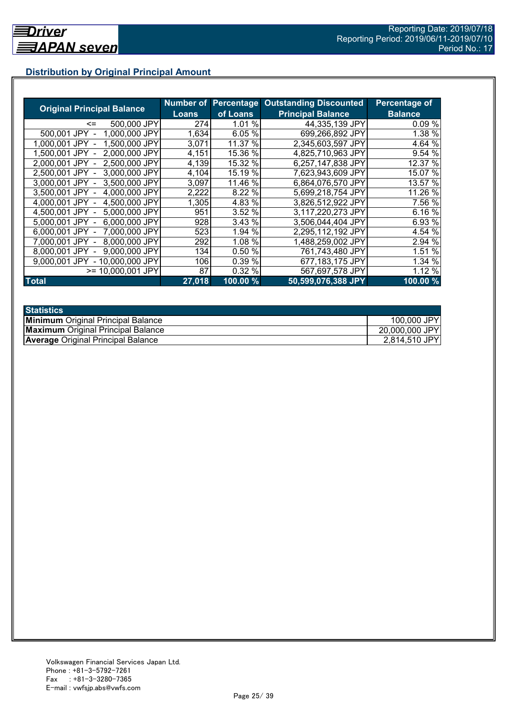## **Distribution by Original Principal Amount**

|                                   |        |          | <b>Number of Percentage Outstanding Discounted</b> | <b>Percentage of</b> |
|-----------------------------------|--------|----------|----------------------------------------------------|----------------------|
| <b>Original Principal Balance</b> | Loans  | of Loans | <b>Principal Balance</b>                           | <b>Balance</b>       |
| 500,000 JPY<br>$\leq$             | 274    | 1.01 %   | 44,335,139 JPY                                     | $0.09\%$             |
| 1,000,000 JPY<br>500,001 JPY      | 1,634  | 6.05%    | 699,266,892 JPY                                    | 1.38 %               |
| 1,500,000 JPY<br>1.000.001 JPY    | 3,071  | 11.37 %  | 2,345,603,597 JPY                                  | 4.64 %               |
| 2,000,000 JPY<br>1.500.001 JPY    | 4,151  | 15.36 %  | 4,825,710,963 JPY                                  | 9.54 %               |
| 2,500,000 JPY<br>2.000.001 JPY    | 4,139  | 15.32 %  | 6,257,147,838 JPY                                  | 12.37 %              |
| 3,000,000 JPY<br>2.500.001 JPY    | 4,104  | 15.19 %  | 7,623,943,609 JPY                                  | 15.07 %              |
| 3,500,000 JPY<br>3.000.001 JPY    | 3,097  | 11.46 %  | 6,864,076,570 JPY                                  | 13.57 %              |
| 4,000,000 JPY<br>3.500.001 JPY    | 2,222  | 8.22%    | 5,699,218,754 JPY                                  | 11.26 %              |
| 4,500,000 JPY<br>4.000.001 JPY    | 1,305  | 4.83 %   | 3,826,512,922 JPY                                  | 7.56 %               |
| 5,000,000 JPY<br>4.500.001 JPY -  | 951    | 3.52 %   | 3,117,220,273 JPY                                  | 6.16 %               |
| 6,000,000 JPY<br>5.000.001 JPY -  | 928    | 3.43 %   | 3,506,044,404 JPY                                  | 6.93 %               |
| 6,000,001 JPY -<br>7,000,000 JPY  | 523    | 1.94 %   | 2,295,112,192 JPY                                  | 4.54 %               |
| 8,000,000 JPY<br>7.000.001 JPY -  | 292    | 1.08 %   | 1,488,259,002 JPY                                  | 2.94 %               |
| 9.000.000 JPY<br>8,000,001 JPY    | 134    | 0.50 %   | 761,743,480 JPY                                    | 1.51 %               |
| 9.000.001 JPY<br>- 10,000,000 JPY | 106    | 0.39 %   | 677,183,175 JPY                                    | 1.34 %               |
| $>= 10,000,001$ JPY               | 87     | 0.32%    | 567,697,578 JPY                                    | 1.12 %               |
| <b>Total</b>                      | 27,018 | 100.00 % | 50,599,076,388 JPY                                 | $100.00\frac{9}{6}$  |

| <b>Statistics</b>                         |                |
|-------------------------------------------|----------------|
| <b>Minimum</b> Original Principal Balance | 100,000 JPY    |
| <b>Maximum</b> Original Principal Balance | 20,000,000 JPY |
| <b>Average Original Principal Balance</b> | 2,814,510 JPY  |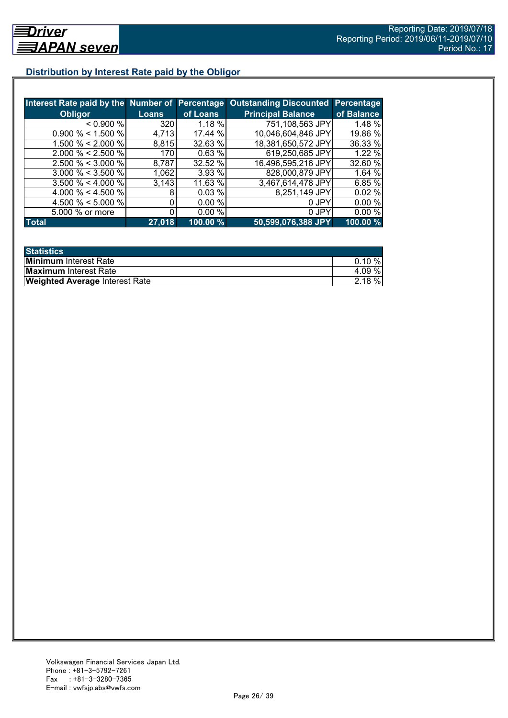## **Distribution by Interest Rate paid by the Obligor**

|                       |        |           | Interest Rate paid by the Number of Percentage Outstanding Discounted | <b>Percentage</b> |
|-----------------------|--------|-----------|-----------------------------------------------------------------------|-------------------|
| <b>Obligor</b>        | Loans  | of Loans  | <b>Principal Balance</b>                                              | of Balance        |
| < 0.900 %             | 320    | $1.18 \%$ | 751,108,563 JPY                                                       | 1.48 %            |
| $0.900\% < 1.500\%$   | 4,713  | 17.44 %   | 10,046,604,846 JPY                                                    | 19.86 %           |
| 1.500 % < 2.000 %     | 8,815  | 32.63 %   | 18,381,650,572 JPY                                                    | 36.33 %           |
| $2.000 \% < 2.500 \%$ | 170    | 0.63%     | 619,250,685 JPY                                                       | 1.22%             |
| $2.500 \% < 3.000 \%$ | 8,787  | 32.52 %   | 16,496,595,216 JPY                                                    | 32.60 %           |
| $3.000 \% < 3.500 \%$ | 1,062  | 3.93 %    | 828,000,879 JPY                                                       | 1.64%             |
| $3.500 \% < 4.000 \%$ | 3,143  | 11.63 %   | 3,467,614,478 JPY                                                     | 6.85 %            |
| 4.000 % < 4.500 %     |        | 0.03%     | 8,251,149 JPY                                                         | 0.02%             |
| 4.500 % < 5.000 %     |        | 0.00 %    | 0 JPY                                                                 | 0.00%             |
| 5.000 % or more       |        | 0.00%     | 0 JPY                                                                 | 0.00%             |
| <b>Total</b>          | 27,018 | 100.00 %  | 50,599,076,388 JPY                                                    | 100.00 %          |

| <b>Statistics</b>                     |           |
|---------------------------------------|-----------|
| <b>Minimum</b> Interest Rate          | $0.10 \%$ |
| <b>Maximum</b> Interest Rate          | 4.09%     |
| <b>Weighted Average Interest Rate</b> | $2.18 \%$ |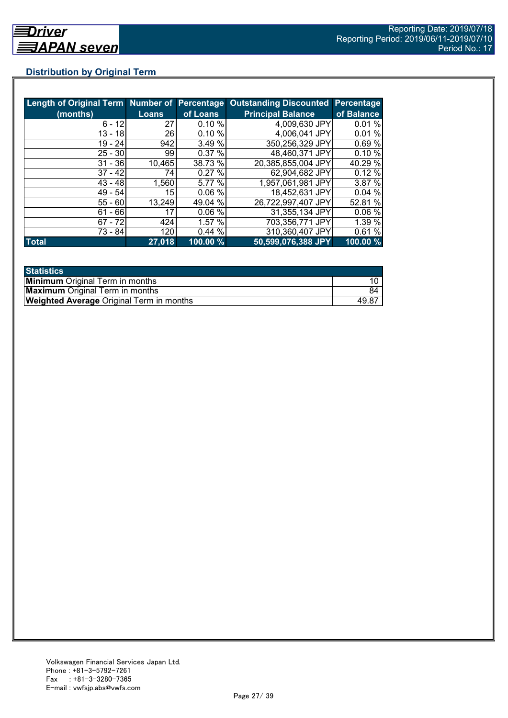## **Distribution by Original Term**

| Length of Original Term Number of Percentage |              |          | <b>Outstanding Discounted</b> | <b>Percentage</b> |
|----------------------------------------------|--------------|----------|-------------------------------|-------------------|
| (months)                                     | <b>Loans</b> | of Loans | <b>Principal Balance</b>      | of Balance        |
| $6 - 12$                                     | 27           | 0.10%    | 4,009,630 JPY                 | 0.01 %            |
| $13 - 18$                                    | 26           | 0.10%    | 4,006,041 JPY                 | 0.01%             |
| 19 - 24                                      | 942          | 3.49 %   | 350,256,329 JPY               | 0.69%             |
| $25 - 30$                                    | 99           | 0.37%    | 48,460,371 JPY                | 0.10%             |
| $31 - 36$                                    | 10,465       | 38.73 %  | 20,385,855,004 JPY            | 40.29 %           |
| $37 - 42$                                    | 74           | 0.27%    | 62,904,682 JPY                | 0.12%             |
| $43 - 48$                                    | 1,560        | 5.77 %   | 1,957,061,981 JPY             | 3.87 %            |
| $49 - 54$                                    | 15           | 0.06%    | 18,452,631 JPY                | 0.04%             |
| $55 - 60$                                    | 13,249       | 49.04 %  | 26,722,997,407 JPY            | 52.81 %           |
| $61 - 66$                                    | 17           | 0.06%    | 31,355,134 JPY                | 0.06%             |
| $67 - 72$                                    | 424          | 1.57 %   | 703,356,771 JPY               | 1.39 %            |
| 73 - 84                                      | 120          | 0.44%    | 310,360,407 JPY               | 0.61%             |
| <b>Total</b>                                 | 27,018       | 100.00 % | 50,599,076,388 JPY            | 100.00 %          |

| <b>Statistics</b>                               |       |
|-------------------------------------------------|-------|
| <b>Minimum</b> Original Term in months          |       |
| <b>Maximum</b> Original Term in months          | 84    |
| <b>Weighted Average Original Term in months</b> | 49.8. |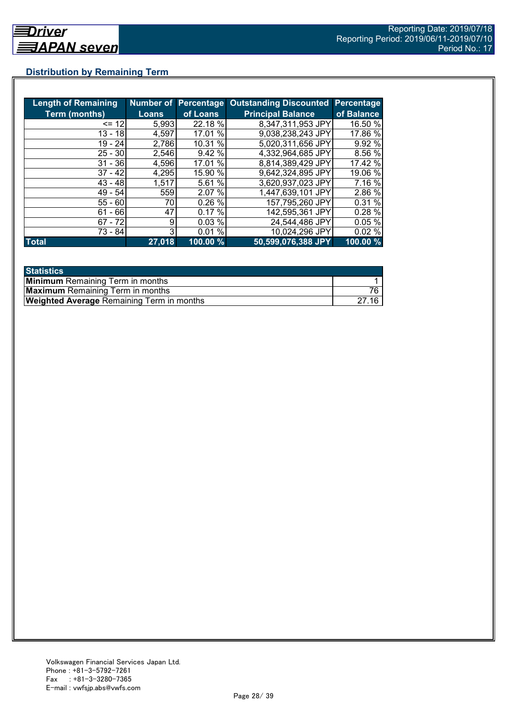## **Distribution by Remaining Term**

| <b>Length of Remaining</b> |              |          | Number of Percentage Outstanding Discounted Percentage |            |
|----------------------------|--------------|----------|--------------------------------------------------------|------------|
| <b>Term (months)</b>       | <b>Loans</b> | of Loans | <b>Principal Balance</b>                               | of Balance |
| $= 12$                     | 5,993        | 22.18 %  | 8,347,311,953 JPY                                      | 16.50 %    |
| $13 - 18$                  | 4,597        | 17.01 %  | 9,038,238,243 JPY                                      | 17.86 %    |
| $19 - 24$                  | 2,786        | 10.31 %  | 5,020,311,656 JPY                                      | 9.92%      |
| $25 - 30$                  | 2,546        | 9.42%    | 4,332,964,685 JPY                                      | 8.56 %     |
| $31 - 36$                  | 4,596        | 17.01 %  | 8,814,389,429 JPY                                      | 17.42 %    |
| $37 - 42$                  | 4,295        | 15.90 %  | 9,642,324,895 JPY                                      | 19.06 %    |
| $43 - 48$                  | 1,517        | 5.61 %   | 3,620,937,023 JPY                                      | 7.16 %     |
| $49 - 54$                  | 559          | 2.07 %   | 1,447,639,101 JPY                                      | 2.86 %     |
| $55 - 60$                  | 70           | 0.26%    | 157,795,260 JPY                                        | 0.31 %     |
| - 66<br>61                 | 47           | 0.17%    | 142,595,361 JPY                                        | 0.28 %     |
| $67 - 72$                  | 9            | 0.03%    | 24,544,486 JPY                                         | 0.05%      |
| 73 - 84                    | 3            | 0.01%    | 10,024,296 JPY                                         | 0.02%      |
| <b>Total</b>               | 27,018       | 100.00 % | 50,599,076,388 JPY                                     | 100.00 %   |

| <b>Statistics</b>                                |  |
|--------------------------------------------------|--|
| <b>Minimum</b> Remaining Term in months          |  |
| <b>Maximum</b> Remaining Term in months          |  |
| <b>Weighted Average Remaining Term in months</b> |  |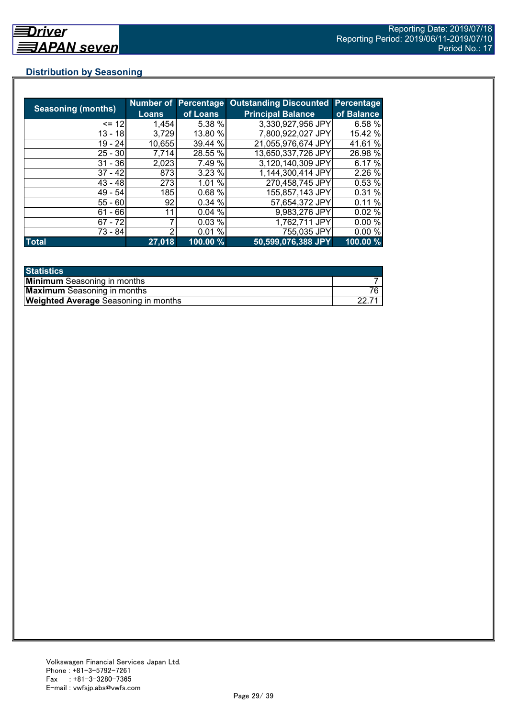## **Distribution by Seasoning**

| <b>Seasoning (months)</b> |              |          | Number of Percentage Outstanding Discounted | Percentage |
|---------------------------|--------------|----------|---------------------------------------------|------------|
|                           | <b>Loans</b> | of Loans | <b>Principal Balance</b>                    | of Balance |
| $= 12$                    | 1,454        | 5.38 %   | 3,330,927,956 JPY                           | 6.58 %     |
| $13 - 18$                 | 3,729        | 13.80 %  | 7.800,922,027 JPY                           | 15.42 %    |
| $19 - 24$                 | 10,655       | 39.44 %  | 21,055,976,674 JPY                          | 41.61 %    |
| $25 - 30$                 | 7,714        | 28.55 %  | 13,650,337,726 JPY                          | 26.98 %    |
| $31 - 36$                 | 2,023        | 7.49 %   | 3,120,140,309 JPY                           | 6.17 %     |
| $37 - 42$                 | 873          | 3.23%    | 1.144,300,414 JPY                           | 2.26%      |
| $43 - 48$                 | 273          | 1.01 %   | 270,458,745 JPY                             | 0.53%      |
| $49 - 54$                 | 185          | 0.68%    | 155,857,143 JPY                             | 0.31%      |
| $55 - 60$                 | 92           | 0.34%    | 57,654,372 JPY                              | 0.11%      |
| $61 - 66$                 | 11           | 0.04%    | 9,983,276 JPY                               | 0.02%      |
| $67 - 72$                 |              | 0.03%    | 1,762,711 JPY                               | 0.00%      |
| 73 - 84                   | っ            | 0.01%    | 755,035 JPY                                 | 0.00%      |
| <b>Total</b>              | 27,018       | 100.00 % | 50,599,076,388 JPY                          | 100.00 %   |

| <b>Statistics</b>                           |  |
|---------------------------------------------|--|
| <b>Minimum</b> Seasoning in months          |  |
| <b>Maximum</b> Seasoning in months          |  |
| <b>Weighted Average</b> Seasoning in months |  |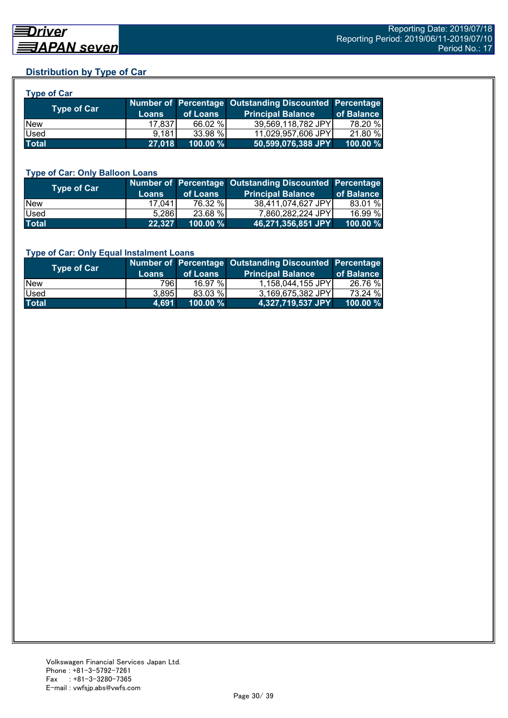## **Distribution by Type of Car**

| <b>Type of Car</b>       |              |          |                                                        |            |
|--------------------------|--------------|----------|--------------------------------------------------------|------------|
| Type of Car <sup>1</sup> |              |          | Number of Percentage Outstanding Discounted Percentage |            |
|                          | <b>Loans</b> | of Loans | <b>Principal Balance</b>                               | of Balance |
| <b>New</b>               | 17,837       | 66.02 %  | 39,569,118,782 JPY                                     | 78.20 %    |
| Used                     | 9.181        | 33.98 %  | 11,029,957,606 JPY                                     | 21.80 %    |
| <b>Total</b>             | 27,018       | 100.00 % | 50,599,076,388 JPY                                     | 100.00 %   |

#### **Type of Car: Only Balloon Loans**

| Type of Car  | <b>Loans</b> | of Loans | Number of Percentage Outstanding Discounted Percentage<br><b>Principal Balance</b> | of Balance  |
|--------------|--------------|----------|------------------------------------------------------------------------------------|-------------|
| <b>New</b>   | 17.041       | 76.32 %  | 38,411,074,627 JPY                                                                 | 83.01 %     |
| Used         | 5.286        | 23.68 %  | 7.860.282.224 JPY                                                                  | 16.99 %     |
| <b>Total</b> | 22.327       | 100.00 % | 46,271,356,851 JPY                                                                 | $100.00 \%$ |

#### **Type of Car: Only Equal Instalment Loans**

| Type of Car  |              |             | Number of Percentage Outstanding Discounted Percentage |            |
|--------------|--------------|-------------|--------------------------------------------------------|------------|
|              | <b>Loans</b> | of Loans    | <b>Principal Balance</b>                               | of Balance |
| <b>New</b>   | 796I         | $16.97\%$   | 1,158,044,155 JPY                                      | 26.76 %    |
| <b>Used</b>  | 3,895        | 83.03 %     | 3,169,675,382 JPY                                      | 73.24 %    |
| <b>Total</b> | 4.691        | $100.00 \%$ |                                                        | 100.00 %   |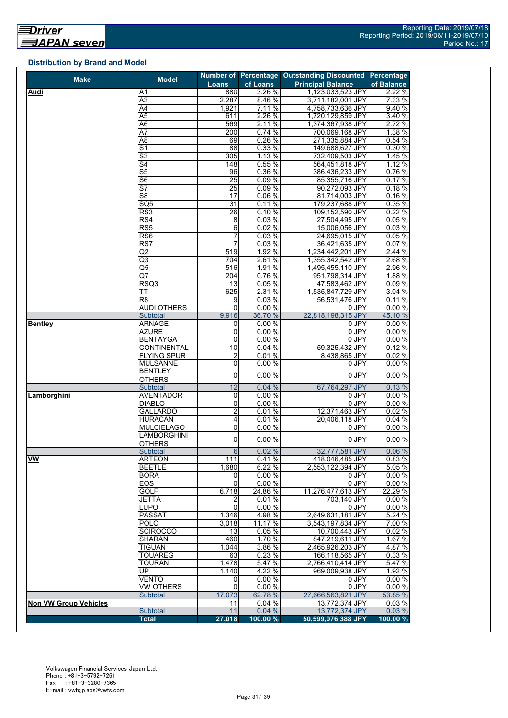## **Distribution by Brand and Model**

| <b>Make</b>                  | <b>Model</b>                        |                  |          | Number of Percentage Outstanding Discounted Percentage |            |
|------------------------------|-------------------------------------|------------------|----------|--------------------------------------------------------|------------|
|                              |                                     | Loans            | of Loans | <b>Principal Balance</b>                               | of Balance |
| Audi                         | A <sub>1</sub>                      | 880              | 3.26 %   | 1,123,033,523 JPY                                      | 2.22 %     |
|                              | A3                                  | 2,287            | 8.46 %   | 3,711,182,001 JPY                                      | 7.33 %     |
|                              | $\overline{A4}$                     | 1,921            | 7.11%    | 4,758,733,636 JPY                                      | 9.40 %     |
|                              | A5                                  | 611              | 2.26 %   | 1,720,129,859 JPY                                      | 3.40 %     |
|                              | A <sub>6</sub>                      | 569              | 2.11%    | 1,374,367,938 JPY                                      | 2.72 %     |
|                              | $\overline{A7}$                     | 200              | 0.74%    | 700,069,168 JPY                                        | 1.38 %     |
|                              | $\overline{AB}$                     | 69               | 0.26 %   | 271,335,884 JPY                                        | 0.54%      |
|                              | $\overline{\mathsf{S}1}$            | $\overline{88}$  | 0.33 %   | 149,688,627 JPY                                        | 0.30%      |
|                              | $\overline{\mathsf{S}3}$            | 305              | 1.13%    | 732,409,503 JPY                                        | 1.45 %     |
|                              | S <sub>4</sub>                      | 148              | 0.55%    | 564,451,818 JPY                                        | 1.12%      |
|                              | S <sub>5</sub>                      | 96               | 0.36%    | 386,436,233 JPY                                        | 0.76%      |
|                              | $\overline{\overline{\mathsf{S6}}}$ | $\overline{25}$  | 0.09%    | 85,355,716 JPY                                         | 0.17%      |
|                              | $\overline{\mathsf{S}7}$            | 25               | 0.09%    | 90,272,093 JPY                                         | 0.18%      |
|                              | S <sub>8</sub>                      | 17               | 0.06%    | 81,714,003 JPY                                         | 0.16%      |
|                              | SQ <sub>5</sub>                     | 31               |          |                                                        | 0.35%      |
|                              |                                     |                  | 0.11%    | 179,237,688 JPY                                        |            |
|                              | RS3                                 | 26               | 0.10%    | 109,152,590 JPY                                        | 0.22%      |
|                              | RS4                                 | 8                | 0.03%    | 27,504,495 JPY                                         | 0.05%      |
|                              | $\overline{\text{RS5}}$             | 6                | 0.02%    | 15,006,056 JPY                                         | 0.03%      |
|                              | RS <sub>6</sub>                     | 7                | 0.03%    | 24,695,015 JPY                                         | 0.05 %     |
|                              | RS7                                 | $\overline{7}$   | 0.03%    | 36,421,635 JPY                                         | 0.07%      |
|                              | $\overline{Q}$                      | 519              | 1.92 %   | 1,234,442,201 JPY                                      | 2.44 %     |
|                              | $\overline{Q3}$                     | 704              | 2.61%    | 1,355,342,542 JPY                                      | 2.68 %     |
|                              | $\overline{\text{Q5}}$              | 516              | 1.91 %   | 1,495,455,110 JPY                                      | 2.96 %     |
|                              | Q7                                  | 204              | 0.76%    | 951,798,314 JPY                                        | 1.88%      |
|                              | RSQ3                                | 13               | 0.05%    | 47,583,462 JPY                                         | 0.09%      |
|                              | ТT                                  | 625              | 2.31 %   | 1,535,847,729 JPY                                      | 3.04 %     |
|                              | R <sub>8</sub>                      | 9                | 0.03%    | 56,531,476 JPY                                         | 0.11%      |
|                              | <b>AUDI OTHERS</b>                  | 0                | 0.00%    | 0 JPY                                                  | 0.00%      |
|                              | Subtotal                            | 9,916            | 36.70 %  | 22.818.198.315 JPY                                     | 45.10 %    |
| <b>Bentley</b>               | <b>ARNAGE</b>                       | 0                | 0.00%    | 0 JPY                                                  | 0.00%      |
|                              | <b>AZURE</b>                        | 0                | 0.00%    | 0 JPY                                                  | 0.00 %     |
|                              | <b>BENTAYGA</b>                     | 0                | 0.00%    | $0$ JPY                                                | 0.00%      |
|                              | <b>CONTINENTAL</b>                  | 10               | 0.04%    | 59,325,432 JPY                                         | 0.12%      |
|                              | <b>FLYING SPUR</b>                  | $\overline{2}$   | 0.01%    | 8,438,865 JPY                                          | 0.02%      |
|                              | <b>MULSANNE</b>                     | 0                | 0.00%    | 0 JPY                                                  | 0.00 %     |
|                              | <b>BENTLEY</b>                      |                  |          |                                                        |            |
|                              | <b>OTHERS</b>                       | 0                | 0.00%    | 0 JPY                                                  | 0.00%      |
|                              | Subtotal                            | 12               | 0.04%    | 67,764,297 JPY                                         | 0.13%      |
| Lamborghini                  | <b>AVENTADOR</b>                    | 0                | 0.00%    | 0 JPY                                                  | 0.00%      |
|                              |                                     | 0                | 0.00%    | 0 JPY                                                  | 0.00%      |
|                              | DIABLO<br><b>GALLARDO</b>           |                  |          |                                                        |            |
|                              |                                     | $\overline{2}$   | 0.01%    | 12,371,463 JPY                                         | 0.02%      |
|                              | <b>HURACÁN</b>                      | 4                | 0.01%    | 20,406,118 JPY                                         | 0.04%      |
|                              | <b>MULCIELAGO</b>                   | 0                | 0.00%    | 0 JPY                                                  | 0.00%      |
|                              | LAMBORGHINI                         | 0                | 0.00%    | 0 JPY                                                  | 0.00%      |
|                              | <b>OTHERS</b>                       |                  |          |                                                        |            |
|                              | Subtotal                            | $6 \overline{6}$ | 0.02%    | 32,777,581 JPY                                         | 0.06%      |
| <b>VW</b>                    | <b>ARTEON</b>                       | 111              | 0.41%    | 418,046,485 JPY                                        | 0.83 %     |
|                              | <b>BEETLE</b>                       | 1,680            | 6.22 %   | 2.553.122.394 JPY                                      | 5.05%      |
|                              | <b>BORA</b>                         | 0                | 0.00%    | 0 JPY                                                  | 0.00%      |
|                              | EOS                                 | $\mathbf 0$      | 0.00%    | 0 JPY                                                  | 0.00%      |
|                              | <b>GOLF</b>                         | 6,718            | 24.86 %  | 11,276,477,613 JPY                                     | 22.29 %    |
|                              | <b>JETTA</b>                        | 2                | 0.01%    | 703,140 JPY                                            | 0.00%      |
|                              | <b>LUPO</b>                         | 0                | 0.00%    | 0 JPY                                                  | 0.00%      |
|                              | <b>PASSAT</b>                       | 1,346            | 4.98 %   | 2,649,631,181 JPY                                      | 5.24 %     |
|                              | <b>POLO</b>                         | 3.018            | 11.17 %  | 3,543,197,834 JPY                                      | 7.00 %     |
|                              | <b>SCIROCCO</b>                     | 13               | $0.05\%$ | 10,700,443 JPY                                         | 0.02%      |
|                              | <b>SHARAN</b>                       | 460              | 1.70 %   | 847,219,611 JPY                                        | 1.67 %     |
|                              | <b>TIGUAN</b>                       | 1,044            | 3.86 %   | 2,465,926,203 JPY                                      | 4.87%      |
|                              | <b>TOUAREG</b>                      | 63               | 0.23%    | 166,118,565 JPY                                        | 0.33 %     |
|                              | <b>TOURAN</b>                       | 1,478            | 5.47 %   | 2,766,410,414 JPY                                      | 5.47 %     |
|                              | UP                                  | 1,140            | 4.22 %   | 969,009,938 JPY                                        | 1.92 %     |
|                              | VENTO                               |                  | 0.00%    |                                                        |            |
|                              |                                     | 0                |          | 0 JPY                                                  | 0.00%      |
|                              | VW OTHERS                           | $\mathbf 0$      | 0.00%    | 0 JPY                                                  | 0.00%      |
|                              | <b>Subtotal</b>                     | 17,073           | 62.78 %  | 27,666,563,821 JPY                                     | 53.85 %    |
| <b>Non VW Group Vehicles</b> |                                     | 11               | 0.04%    | 13,772,374 JPY                                         | 0.03%      |
|                              | Subtotal                            | 11               | 0.04%    | 13,772,374 JPY                                         | 0.03%      |
|                              | <b>Total</b>                        | 27,018           | 100.00 % | 50,599,076,388 JPY                                     | 100.00 %   |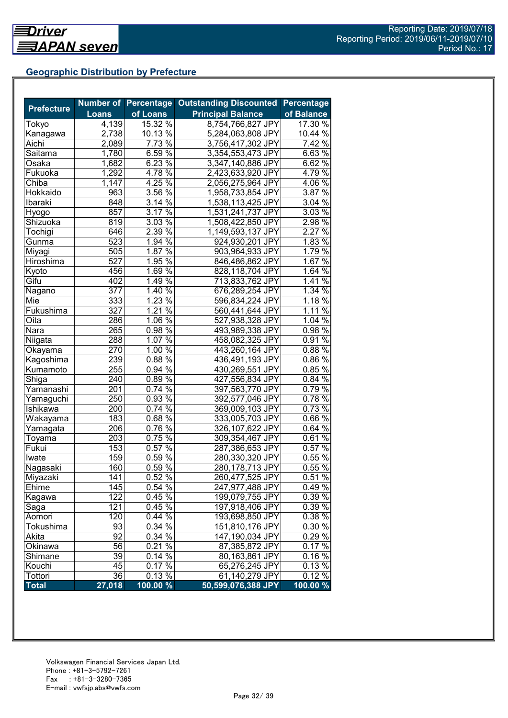## **Geographic Distribution by Prefecture**

| <b>Prefecture</b> |              | <b>Number of Percentage</b> | <b>Outstanding Discounted</b> | <b>Percentage</b> |
|-------------------|--------------|-----------------------------|-------------------------------|-------------------|
|                   | <b>Loans</b> | of Loans                    | <b>Principal Balance</b>      | of Balance        |
| Tokyo             | 4,139        | 15.32 %                     | 8,754,766,827 JPY             | 17.30 %           |
| Kanagawa          | 2,738        | $10.13\%$                   | 5,284,063,808 JPY             | 10.44 %           |
| Aichi             | 2,089        | 7.73 %                      | 3,756,417,302 JPY             | $7.42\%$          |
| Saitama           | 1,780        | 6.59 %                      | 3,354,553,473 JPY             | 6.63 $\sqrt{8}$   |
| Osaka             | 1,682        | 6.23 $\sqrt{8}$             | 3,347,140,886 JPY             | $6.62\%$          |
| Fukuoka           | 1,292        | $4.78\%$                    | 2,423,633,920 JPY             | 4.79 $\%$         |
| Chiba             | 1,147        | 4.25%                       | 2,056,275,964 JPY             | $4.06\%$          |
| Hokkaido          | 963          | 3.56%                       | 1,958,733,854 JPY             | 3.87 $\sqrt{8}$   |
| Ibaraki           | 848          | 3.14 $\sqrt{8}$             | 1,538,113,425 JPY             | 3.04 %            |
| Hyogo             | 857          | 3.17 $\frac{6}{6}$          | 1,531,241,737 JPY             | $3.03\%$          |
| Shizuoka          | 819          | 3.03%                       | 1,508,422,850 JPY             | 2.98%             |
| Tochigi           | 646          | 2.39 %                      | 1,149,593,137 JPY             | 2.27 %            |
| Gunma             | 523          | 1.94 %                      | 924,930,201 JPY               | 1.83%             |
| Miyagi            | 505          | 1.87 $\sqrt{8}$             | 903,964,933 JPY               | 1.79 %            |
| Hiroshima         | 527          | 1.95 $\sqrt{2}$             | 846,486,862 JPY               | 1.67 $\sqrt{6}$   |
| Kyoto             | 456          | 1.69 %                      | 828,118,704 JPY               | 1.64%             |
| Gifu              | 402          | 1.49 $\frac{6}{6}$          | 713,833,762 JPY               | 1.41 $\sqrt{2}$   |
| Nagano            | 377          | 1.40 %                      | 676,289,254 JPY               | 1.34 %            |
| Mie               | 333          | $1.23\%$                    | 596,834,224 JPY               | $1.18\%$          |
| Fukushima         | 327          | 1.21%                       | 560,441,644 JPY               | 1.11%             |
| Oita              | 286          | $1.06\%$                    | 527,938,328 JPY               | 1.04%             |
| Nara              | 265          | $0.98\sqrt{26}$             | 493,989,338 JPY               | 0.98%             |
| Niigata           | 288          | $1.07\%$                    | 458,082,325 JPY               | 0.91%             |
| Okaya <u>ma</u>   | 270          | $1.00\%$                    | 443,260,164 JPY               | 0.88%             |
| Kagoshima         | 239          | $0.88\%$                    | 436,491,193 JPY               | $0.86\,\sqrt{6}$  |
| Kumamoto          | 255          | $0.94\%$                    | 430,269,551 JPY               | 0.85%             |
| Shiga             | 240          | $0.89\%$                    | 427,556,834 JPY               | 0.84 %            |
| Yamanashi         | 201          | $0.74\%$                    | 397,563,770 JPY               | 0.79%             |
| Yamaguchi         | 250          | 0.93 %                      | 392,577,046 JPY               | $0.78\%$          |
| Ishikawa          | 200          | $0.74\sqrt{20}$             | 369,009,103 JPY               | 0.73 %            |
| Wakayama          | 183          | $0.68\sqrt{26}$             | 333,005,703 JPY               | 0.66%             |
| Yamagata          | 206          | $0.76\sqrt{26}$             | 326,107,622 JPY               | $0.64\%$          |
| Toyama            | 203          | $0.75\,\sqrt{6}$            | 309,354,467 JPY               | $0.61\%$          |
| Fukui             | 153          | $0.57\%$                    | 287,386,653 JPY               | $0.57\%$          |
| Iwate             | 159          | 0.59%                       | 280,330,320 JPY               | 0.55%             |
| Nagasaki          | 160          | 0.59%                       | 280,178,713 JPY               | 0.55%             |
| Miyazaki          | 141          | 0.52%                       | 260,477,525 JPY               | 0.51%             |
| Ehime             | 145          | 0.54 %                      | 247,977,488 JPY               | 0.49%             |
| Kagawa            | 122          | $0.45\%$                    | 199,079,755 JPY               | $0.39\%$          |
| Saga              | 121          | 0.45%                       | 197,918,406 JPY               | 0.39 %            |
| Aomori            | 120          | 0.44%                       | 193,698,850 JPY               | 0.38 %            |
| Tokushima         | 93           | 0.34 %                      | 151,810,176 JPY               | 0.30 %            |
| Akita             | 92           | 0.34 %                      | 147,190,034 JPY               | 0.29%             |
| Okinawa           | 56           | $0.21\%$                    | 87,385,872 JPY                | 0.17%             |
| Shimane           | 39           | 0.14%                       | 80,163,861 JPY                | 0.16%             |
| Kouchi            | 45           | 0.17%                       | 65,276,245 JPY                | 0.13%             |
| Tottori           | 36           | 0.13%                       | 61,140,279 JPY                | 0.12%             |
| <b>Total</b>      | 27,018       | 100.00 %                    | 50,599,076,388 JPY            | $100.00\%$        |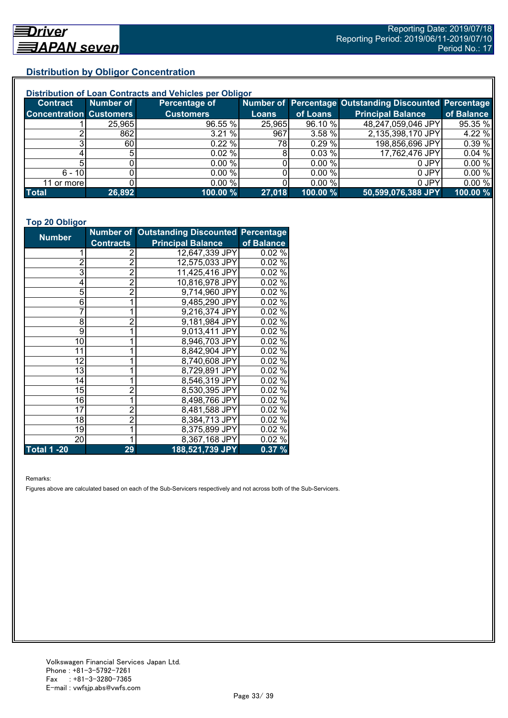## **Distribution by Obligor Concentration**

| Distribution of Loan Contracts and Vehicles per Obligor |           |                  |              |          |                                                        |            |  |
|---------------------------------------------------------|-----------|------------------|--------------|----------|--------------------------------------------------------|------------|--|
| <b>Contract</b>                                         | Number of | Percentage of    |              |          | Number of Percentage Outstanding Discounted Percentage |            |  |
| <b>Concentration Customers</b>                          |           | <b>Customers</b> | <b>Loans</b> | of Loans | <b>Principal Balance</b>                               | of Balance |  |
|                                                         | 25,965    | 96.55 %          | 25,965       | 96.10 %  | 48,247,059,046 JPY                                     | 95.35 %    |  |
|                                                         | 862       | 3.21%            | 967          | 3.58%    | 2,135,398,170 JPY                                      | 4.22 %     |  |
|                                                         | 60I       | $0.22 \%$        | 78I          | 0.29%    | 198,856,696 JPY                                        | 0.39%      |  |
|                                                         |           | $0.02 \%$        |              | 0.03 %   | 17,762,476 JPY                                         | 0.04%      |  |
|                                                         |           | 0.00 %           |              | 0.00 %   | 0 JPY                                                  | 0.00%      |  |
| $6 - 10$                                                |           | 0.00 %           |              | 0.00%    | 0 JPY                                                  | 0.00%      |  |
| 11 or morel                                             |           | $0.00\%$         |              | 0.00 %   | 0 JPY                                                  | 0.00%      |  |
| <b>Total</b>                                            | 26,892    | 100.00 %         | 27,018       | 100.00 % | 50,599,076,388 JPY                                     | 100.00 %   |  |

#### **Top 20 Obligor**

| <b>Number</b>      |                | Number of Outstanding Discounted Percentage |            |
|--------------------|----------------|---------------------------------------------|------------|
| <b>Contracts</b>   |                | <b>Principal Balance</b>                    | of Balance |
|                    | 2              | 12,647,339 JPY                              | 0.02%      |
| $\overline{c}$     | $\overline{2}$ | 12,575,033 JPY                              | 0.02%      |
| 3                  | $\overline{2}$ | 11,425,416 JPY                              | 0.02%      |
| 4                  | $\overline{2}$ | 10,816,978 JPY                              | 0.02%      |
| 5                  | $\overline{2}$ | 9,714,960 JPY                               | 0.02%      |
| 6                  | 1              | 9,485,290 JPY                               | 0.02%      |
| $\overline{7}$     | 1              | 9,216,374 JPY                               | 0.02%      |
| 8                  | $\overline{2}$ | 9,181,984 JPY                               | 0.02%      |
| 9                  | 1              | 9,013,411 JPY                               | 0.02%      |
| 10                 |                | 8,946,703 JPY                               | 0.02%      |
| 11                 |                | 8,842,904 JPY                               | 0.02%      |
| 12                 |                | 8,740,608 JPY                               | 0.02%      |
| 13                 |                | 8,729,891 JPY                               | 0.02%      |
| 14                 |                | 8,546,319 JPY                               | 0.02%      |
| 15                 | 2              | 8,530,395 JPY                               | 0.02%      |
| 16                 | 1              | 8,498,766 JPY                               | 0.02 %     |
| 17                 | $\overline{2}$ | 8,481,588 JPY                               | 0.02%      |
| 18                 | $\overline{c}$ | 8,384,713 JPY                               | 0.02%      |
| 19                 |                | 8,375,899 JPY                               | 0.02%      |
| 20                 | 1              | 8,367,168 JPY                               | 0.02%      |
| <b>Total 1 -20</b> | 29             | 188,521,739 JPY                             | 0.37%      |

Remarks:

Figures above are calculated based on each of the Sub-Servicers respectively and not across both of the Sub-Servicers.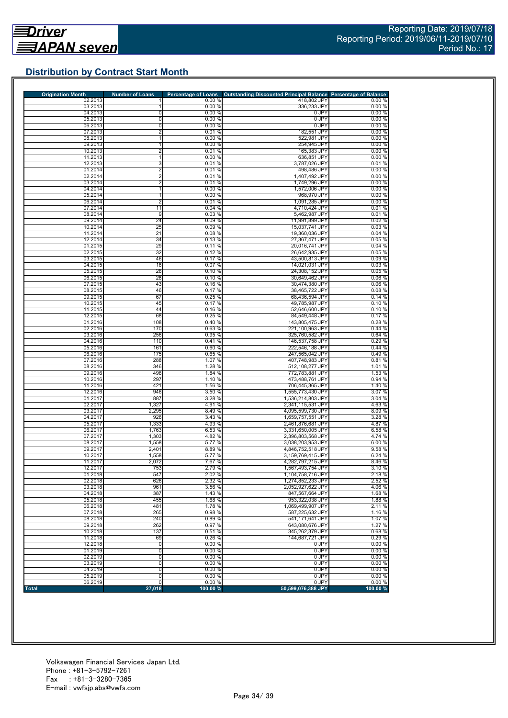## **Distribution by Contract Start Month**

| <b>Origination Month</b> | <b>Number of Loans</b>  | <b>Percentage of Loans</b> | Outstanding Discounted Principal Balance Percentage of Balance |                 |
|--------------------------|-------------------------|----------------------------|----------------------------------------------------------------|-----------------|
| 02.2013                  |                         | 0.00%                      | 418,802 JPY                                                    | 0.00%           |
| 03.2013<br>04.2013       | 0                       | 0.00%<br>0.00%             | 336,233 JPY<br>0 JPY                                           | 0.00%<br>0.00%  |
| 05.2013                  | 0                       | 0.00%                      | 0 JPY                                                          | 0.00%           |
| 06.2013                  | 0                       | 0.00%                      | 0 JPY                                                          | 0.00%           |
| 07.2013                  | $\overline{2}$          | 0.01%                      | 182,551 JPY                                                    | 0.00%           |
| 08.2013                  | 1                       | 0.00%                      | 522,981 JPY                                                    | 0.00%           |
| 09.2013                  | 1                       | 0.00%                      | 254,945 JPY                                                    | 0.00%           |
| 10.2013                  | $\overline{\mathbf{c}}$ | 0.01%                      | 165,383 JPY                                                    | 0.00%           |
| 11.2013                  | $\mathbf{1}$            | 0.00%                      | 636,851 JPY                                                    | 0.00%           |
| 12.2013<br>01.2014       | 3<br>$\overline{2}$     | 0.01%<br>0.01%             | 3,787,026 JPY<br>498,486 JPY                                   | 0.01%<br>0.00%  |
| 02.2014                  | $\overline{2}$          | 0.01%                      | 1,407,492 JPY                                                  | 0.00%           |
| 03.2014                  | $\overline{2}$          | 0.01%                      | 1,749,296 JPY                                                  | 0.00%           |
| 04.2014                  | 1                       | 0.00%                      | 1,572,006 JPY                                                  | 0.00%           |
| 05.2014                  | 1                       | 0.00%                      | 968,970 JPY                                                    | 0.00%           |
| 06.2014                  | $\overline{2}$          | 0.01%                      | 1,091,285 JPY                                                  | 0.00%           |
| 07.2014                  | 11                      | 0.04%                      | 4,710,424 JPY                                                  | 0.01%           |
| 08.2014                  | 9                       | 0.03%                      | 5,462,987 JPY                                                  | 0.01%           |
| 09.2014                  | 24                      | 0.09%                      | 11,991,899 JPY                                                 | 0.02%           |
| 10.2014                  | 25                      | 0.09%                      | 15,037,741 JPY                                                 | 0.03%           |
| 11.2014                  | 21                      | 0.08%                      | 19,360,036 JPY                                                 | 0.04%           |
| 12.2014<br>01.2015       | 34<br>29                | 0.13 %<br>0.11%            | 27,367,471 JPY<br>20,016,741 JPY                               | 0.05%<br>0.04%  |
| 02.2015                  | 32                      | 0.12%                      | 26,642,935 JPY                                                 | 0.05%           |
| 03.2015                  | 46                      | 0.17%                      | 43,500,813 JPY                                                 | 0.09%           |
| 04.2015                  | 18                      | 0.07%                      | 14,021,031 JPY                                                 | 0.03%           |
| 05.2015                  | 26                      | 0.10%                      | 24,308,152 JPY                                                 | 0.05%           |
| 06.2015                  | 28                      | 0.10%                      | 30,649,462 JPY                                                 | 0.06%           |
| 07.2015                  | 43                      | 0.16%                      | 30,474,380 JPY                                                 | 0.06%           |
| 08.2015                  | 46                      | 0.17%                      | 38,465,722 JPY                                                 | 0.08%           |
| 09.2015                  | 67                      | 0.25%                      | 68,436,594 JPY                                                 | 0.14%           |
| 10.2015                  | 45                      | 0.17%                      | 49,785,987 JPY                                                 | 0.10%           |
| 11.2015                  | 44                      | 0.16%                      | 52,646,600 JPY                                                 | 0.10%           |
| 12.2015<br>01.2016       | 68<br>108               | 0.25%<br>0.40 %            | 84,549,448 JPY<br>143,805,475 JPY                              | 0.17%<br>0.28%  |
| 02.2016                  | 170                     | 0.63%                      | 221,100,963 JPY                                                | 0.44 %          |
| 03.2016                  | 256                     | 0.95%                      | 325,760,582 JPY                                                | 0.64%           |
| 04.2016                  | 110                     | 0.41%                      | 146,537,758 JPY                                                | 0.29%           |
| 05.2016                  | 161                     | 0.60%                      | 222,546,188 JPY                                                | 0.44%           |
| 06.2016                  | 175                     | 0.65%                      | 247,565,042 JPY                                                | 0.49%           |
| 07.2016                  | 288                     | 1.07 %                     | 407,748,983 JPY                                                | 0.81%           |
| 08.2016                  | 346                     | 1.28 %                     | 512,108,277 JPY                                                | 1.01%           |
| 09.2016                  | 496                     | 1.84 %                     | 772,783,881 JPY                                                | 1.53 %          |
| 10.2016                  | 297                     | 1.10 %                     | 473,488,761 JPY                                                | 0.94%           |
| 11.2016<br>12.2016       | 421<br>946              | 1.56 %<br>3.50%            | 706,445,365 JPY<br>1,555,773,430 JPY                           | 1.40 %<br>3.07% |
| 01.2017                  | 887                     | 3.28 %                     | 1,536,214,803 JPY                                              | 3.04 %          |
| 02.2017                  | 1,327                   | 4.91%                      | 2,341,115,531 JPY                                              | 4.63%           |
| 03.2017                  | 2,295                   | 8.49 %                     | 4,095,599,730 JPY                                              | 8.09%           |
| 04.2017                  | 926                     | 3.43%                      | 1,659,757,551 JPY                                              | 3.28 %          |
| 05.2017                  | 1,333                   | 4.93 %                     | 2,461,876,681 JPY                                              | 4.87 %          |
| 06.2017                  | 1,763                   | 6.53 %                     | 3,331,650,005 JPY                                              | 6.58 %          |
| 07.2017                  | 1,303                   | 4.82 %                     | 2,396,803,568 JPY                                              | 4.74 %          |
| 08.2017                  | 1,558                   | 5.77 %                     | 3.038.203.953 JPY                                              | 6.00%           |
| 09.2017                  | 2,401                   | 8.89 %                     | 4,846,752,518 JPY                                              | 9.58 %          |
| 10.2017                  | 1,558                   | 5.77%                      | 3.159.769.415 JPY                                              | 6.24 %          |
| 11.2017<br>12.2017       | 2,072<br>753            | 7.67 %<br>2.79 %           | 4,282,797,215 JPY<br>1,567,493,754 JPY                         | 8.46 %<br>3.10% |
|                          | 547                     | 2.02 %                     |                                                                | 2.18 %          |
| 01.2018<br>02.2018       | 626                     | 2.32 %                     | 1,104,758,716 JPY<br>1,274,852,233 JPY                         | 2.52 %          |
| 03.2018                  | 961                     | 3.56 %                     | 2,052,927,622 JPY                                              | 4.06%           |
| 04.2018                  | 387                     | 1.43 %                     | 847,567,664 JPY                                                | 1.68%           |
| 05.2018                  | 455                     | 1.68%                      | 953,322,038 JPY                                                | 1.88%           |
| 06.2018                  | 481                     | 1.78%                      | 1,069,499,907 JPY                                              | 2.11 %          |
| 07.2018                  | 265                     | 0.98%                      | 587,225,632 JPY                                                | 1.16%           |
| 08.2018                  | 240                     | 0.89%                      | 541,171,641 JPY                                                | 1.07 %          |
| 09.2018                  | 262                     | 0.97 %                     | 643.080.676 JPY                                                | 1.27 %          |
| 10.2018                  | 137                     | 0.51 %                     | 345,262,379 JPY                                                | 0.68%           |
| 11.2018                  | 69                      | 0.26 %                     | 144,687,721 JPY                                                | 0.29%           |
| 12.2018                  | 0                       | 0.00%<br>0.00%             | 0 JPY<br>0 JPY                                                 | 0.00%<br>0.00%  |
| 01.2019<br>02.2019       | 0<br>0                  | 0.00%                      | 0 JPY                                                          | 0.00%           |
| 03.2019                  | 0                       | 0.00%                      | 0 JPY                                                          | 0.00%           |
| 04.2019                  | $\overline{0}$          | 0.00%                      | 0 JPY                                                          | 0.00%           |
|                          |                         |                            |                                                                | 0.00%           |
|                          |                         | 0.00%                      |                                                                |                 |
| 05.2019<br>06.2019       | 0<br>$\overline{0}$     | 0.00%                      | 0 JPY<br>0 JPY                                                 | 0.00%           |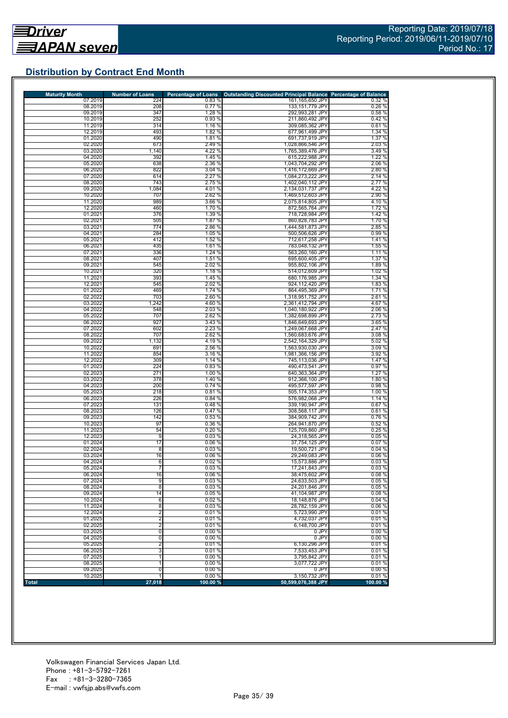## **Distribution by Contract End Month**

| <b>Maturity Month</b> | <b>Number of Loans</b> | <b>Percentage of Loans</b> | <b>Outstanding Discounted Principal Balance Percentage of Balance</b> |                  |
|-----------------------|------------------------|----------------------------|-----------------------------------------------------------------------|------------------|
| 07.2019               | 224                    | 0.83%                      | 161,165,650 JPY                                                       | 0.32%            |
| 08.2019               | 208                    | 0.77%                      | 133,151,779 JPY                                                       | 0.26%            |
| 09.2019               | 347                    | 1.28 %                     | 292,993,281 JPY                                                       | 0.58 %           |
| 10.2019               | 252                    | 0.93 %                     | 211,860,492 JPY                                                       | 0.42%            |
| 11.2019               | 314                    | 1.16 %                     | 309,085,362 JPY                                                       | 0.61%            |
| 12.2019               | 493                    | 1.82 %                     | 677,961,499 JPY                                                       | 1.34 %           |
| 01.2020               | 490                    | 1.81%                      | 691,737,919 JPY                                                       | 1.37 %           |
| 02.2020               | 673                    | 2.49 %                     | 1,028,866,546 JPY                                                     | 2.03 %           |
| 03.2020               | 1,140                  | 4.22 %                     | 1,765,389,476 JPY                                                     | 3.49 %           |
| 04.2020               | 392                    | 1.45 %                     | 615,222,988 JPY                                                       | 1.22 %           |
| 05.2020               | 638                    | 2.36 %                     | 1,043,704,292 JPY                                                     | 2.06 %           |
| 06.2020               | 822                    | 3.04%                      | 1,416,172,669 JPY                                                     | 2.80 %           |
| 07.2020               | 614<br>743             | 2.27%                      | 1,084,273,222 JPY                                                     | 2.14 %           |
| 08.2020<br>09.2020    | 1,084                  | 2.75 %<br>4.01%            | 1,402,040,112 JPY<br>2,134,031,737 JPY                                | 2.77 %<br>4.22%  |
| 10.2020               | 707                    | 2.62 %                     | 1,469,512,603 JPY                                                     | 2.90 %           |
| 11.2020               | 989                    | 3.66 %                     |                                                                       | 4.10%            |
| 12.2020               | 460                    | 1.70 %                     | 2,075,814,805 JPY<br>872,565,764 JPY                                  | 1.72 %           |
| 01.2021               | 376                    | 1.39 %                     |                                                                       | 1.42 %           |
| 02.2021               | 505                    | 1.87 %                     | 718,728,984 JPY<br>860,828,783 JPY                                    | 1.70 %           |
| 03.2021               | 774                    | 2.86 %                     | 1,444,581,873 JPY                                                     | 2.85 %           |
| 04.2021               | 284                    | 1.05 %                     | 500,506,626 JPY                                                       | 0.99%            |
|                       | 412                    |                            |                                                                       |                  |
| 05.2021<br>06.2021    | 435                    | 1.52 %<br>1.61 %           | 712,617,258 JPY                                                       | 1.41%            |
| 07.2021               | 336                    | 1.24 %                     | 783,048,132 JPY<br>563,260,160 JPY                                    | 1.55 %<br>1.11 % |
| 08.2021               | 407                    | 1.51 %                     | 695,600,405 JPY                                                       | 1.37 %           |
| 09.2021               | 545                    | 2.02 %                     | 955,802,106 JPY                                                       | 1.89%            |
| 10.2021               | 320                    | 1.18 %                     | 514,012,609 JPY                                                       | 1.02%            |
| 11.2021               | 393                    | 1.45 %                     | 680,176,985 JPY                                                       | 1.34 %           |
| 12.2021               | 545                    | 2.02 %                     | 924,112,420 JPY                                                       | 1.83 %           |
| 01.2022               | 469                    | 1.74 %                     | 864,495,369 JPY                                                       | 1.71%            |
| 02.2022               | 703                    | 2.60 %                     | 1,318,951,752 JPY                                                     | 2.61 %           |
| 03.2022               | 1,242                  | 4.60%                      | 2,361,412,794 JPY                                                     | 4.67%            |
| 04.2022               | 548                    | 2.03 %                     | 1,040,180,922 JPY                                                     | 2.06 %           |
| 05.2022               | 707                    | 2.62 %                     | 1,382,698,899 JPY                                                     | 2.73 %           |
| 06.2022               | 927                    | 3.43 %                     | 1,846,649,693 JPY                                                     | 3.65 %           |
| 07.2022               | 602                    | 2.23 %                     | 1,249,067,668 JPY                                                     | 2.47 %           |
| 08.2022               | 707                    | 2.62 %                     | 1.560.683.676 JPY                                                     | 3.08%            |
| 09.2022               | 1,132                  | 4.19%                      | 2,542,164,329 JPY                                                     | 5.02 %           |
| 10.2022               | 691                    | 2.56 %                     | 1,563,930,030 JPY                                                     | 3.09%            |
| 11.2022               | 854                    | 3.16%                      | 1,981,366,156 JPY                                                     | 3.92 %           |
| 12.2022               | 309                    | 1.14 %                     | 745,113,036 JPY                                                       | 1.47 %           |
| 01.2023               | 224                    | 0.83%                      | 490,473,541 JPY                                                       | 0.97%            |
| 02.2023               | 271                    | 1.00 %                     | 640,363,364 JPY                                                       | 1.27 %           |
| 03.2023               | 378                    | 1.40 %                     | 912,366,100 JPY                                                       | 1.80%            |
| 04.2023               | 200                    | 0.74%                      | 495,577,597 JPY                                                       | 0.98%            |
| 05.2023               | 218                    | 0.81%                      | 505,174,353 JPY                                                       | 1.00%            |
| 06.2023               | 226                    | 0.84 %                     | 576,982,068 JPY                                                       | 1.14 %           |
| 07.2023               | 131                    | 0.48%                      | 339,190,947 JPY                                                       | 0.67%            |
| 08.2023               | 126                    | 0.47 %                     | 308,568,117 JPY                                                       | 0.61%            |
| 09.2023               | 142                    | 0.53%                      | 384,909,742 JPY                                                       | 0.76%            |
| 10.2023               | 97                     | 0.36%                      | 264,941,870 JPY                                                       | 0.52%            |
| 11.2023               | 54                     | 0.20%                      | 125,709,860 JPY                                                       | 0.25%            |
| 12.2023               | 9                      | 0.03%                      | 24,318,565 JPY                                                        | 0.05%            |
| 01.2024               | 17                     | 0.06 %                     | 37,754,125 JPY                                                        | 0.07%            |
| 02.2024               | 8                      | 0.03%                      | 19.500.721 JPY                                                        | 0.04%            |
| 03.2024               | 16                     | 0.06%                      | 29,249,083 JPY                                                        | 0.06%            |
| 04.2024               | 6                      | 0.02%                      | 15.573.886 JPY                                                        | 0.03%            |
| 05.2024               | 7                      | 0.03%                      | 17,241,843 JPY                                                        | 0.03%            |
| 06.2024               | 16                     | 0.06%                      | 38,475,602 JPY                                                        | 0.08%            |
| 07.2024               | 9                      | 0.03%                      | 24.633.503 JPY                                                        | 0.05%            |
| 08.2024               | 8                      | 0.03%                      | 24.201.846 JPY                                                        | 0.05%            |
| 09.2024               | 14                     | 0.05%                      | 41.104.987 JPY                                                        | 0.08%            |
| 10.2024               | 6                      | 0.02%                      | 18,148,876 JPY                                                        | 0.04%            |
| 11.2024               | $\overline{8}$         | 0.03%                      | 28,782,159 JPY                                                        | 0.06%            |
| 12.2024               | $\overline{2}$         | 0.01%                      | 5,723,990 JPY                                                         | 0.01%            |
| 01.2025               | $\overline{2}$         | 0.01%                      | 4.732.037 JPY                                                         | 0.01%            |
| 02.2025               | $\overline{2}$         | 0.01%                      | 6,148,700 JPY                                                         | 0.01%            |
| 03.2025               | $\overline{0}$         | 0.00%                      | 0 JPY                                                                 | 0.00%            |
| 04.2025               | 0                      | 0.00%                      | 0 JPY                                                                 | 0.00%            |
| 05.2025               | $\overline{2}$         | 0.01%                      | 6,130,296 JPY                                                         | 0.01%            |
| 06.2025               | 3                      | 0.01%                      | 7,533,453 JPY                                                         | 0.01%            |
| 07.2025               | 1                      | 0.00%                      | 3,795,842 JPY                                                         | 0.01%            |
| 08.2025               | 1                      | 0.00%                      | 3,077,722 JPY                                                         | 0.01%            |
| 09.2025               | 0                      | 0.00%                      | 0 JPY                                                                 | 0.00%            |
| 10.2025               | 1                      | 0.00%                      | 3,150,732 JPY                                                         | 0.01%            |
| <b>Total</b>          | 27,018                 | 100.00 %                   | 50,599,076,388 JPY                                                    | 100.00 %         |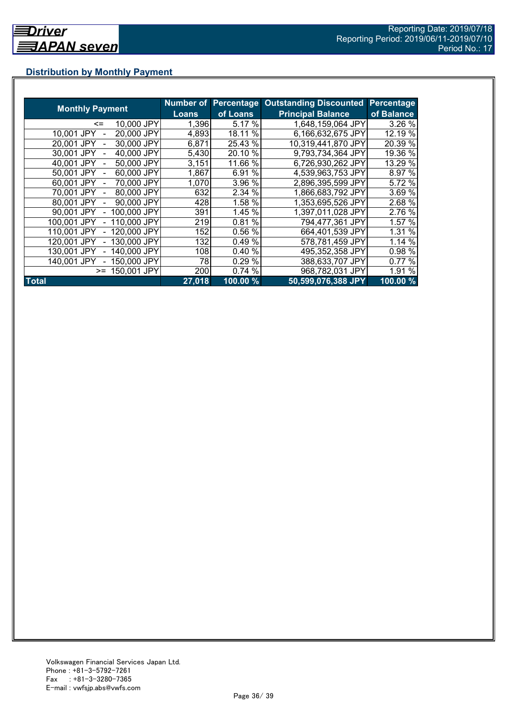## **Distribution by Monthly Payment**

|                            | Number of | Percentage | <b>Outstanding Discounted</b> | Percentage |
|----------------------------|-----------|------------|-------------------------------|------------|
| <b>Monthly Payment</b>     | Loans     | of Loans   | <b>Principal Balance</b>      | of Balance |
| 10,000 JPY<br>$\leq$       | 1,396     | 5.17 %     | 1,648,159,064 JPY             | 3.26 %     |
| 20,000 JPY<br>10.001 JPY   | 4,893     | 18.11 %    | 6,166,632,675 JPY             | 12.19 %    |
| 30,000 JPY<br>20.001 JPY   | 6,871     | 25.43 %    | 10,319,441,870 JPY            | 20.39 %    |
| 40,000 JPY<br>30,001 JPY   | 5,430     | 20.10 %    | 9,793,734,364 JPY             | 19.36 %    |
| 50,000 JPY<br>40.001 JPY   | 3,151     | 11.66 %    | 6,726,930,262 JPY             | 13.29 %    |
| 60,000 JPY<br>50,001 JPY   | 1,867     | 6.91%      | 4.539,963,753 JPY             | 8.97 %     |
| 70,000 JPY<br>60,001 JPY   | 1,070     | 3.96 %     | 2,896,395,599 JPY             | 5.72 %     |
| 80,000 JPY<br>70.001 JPY   | 632       | 2.34 %     | 1,866,683,792 JPY             | 3.69 %     |
| 90,000 JPY<br>80,001 JPY   | 428       | 1.58 %     | 1,353,695,526 JPY             | 2.68 %     |
| 100,000 JPY<br>90,001 JPY  | 391       | 1.45 %     | 1,397,011,028 JPY             | 2.76 %     |
| 110,000 JPY<br>100,001 JPY | 219       | 0.81%      | 794,477,361 JPY               | 1.57 %     |
| 120,000 JPY<br>110,001 JPY | 152       | 0.56 %     | 664,401,539 JPY               | 1.31 %     |
| 130,000 JPY<br>120.001 JPY | 132       | 0.49%      | 578,781,459 JPY               | 1.14 %     |
| 140,000 JPY<br>130.001 JPY | 108       | 0.40 %     | 495,352,358 JPY               | 0.98 %     |
| 140,001 JPY<br>150,000 JPY | 78        | 0.29 %     | 388,633,707 JPY               | 0.77 %     |
| 150,001 JPY<br>$>=$        | 200       | 0.74%      | 968,782,031 JPY               | 1.91 %     |
| <b>Total</b>               | 27,018    | 100.00 %   | 50,599,076,388 JPY            | $100.00\%$ |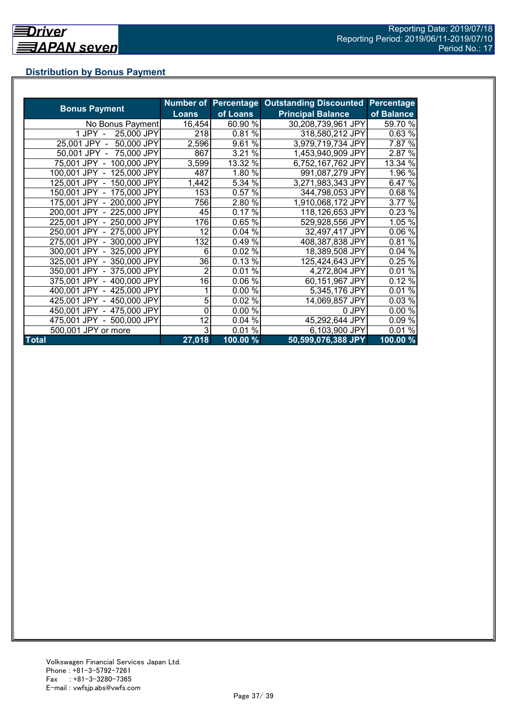## **Distribution by Bonus Payment**

|                            |                |          | Number of Percentage Outstanding Discounted | Percentage |
|----------------------------|----------------|----------|---------------------------------------------|------------|
| <b>Bonus Payment</b>       | <b>Loans</b>   | of Loans | <b>Principal Balance</b>                    | of Balance |
| No Bonus Payment           | 16,454         | 60.90 %  | 30,208,739,961 JPY                          | 59.70 %    |
| 25,000 JPY<br>1 JPY -      | 218            | 0.81%    | 318,580,212 JPY                             | 0.63%      |
| 25,001 JPY -<br>50,000 JPY | 2,596          | 9.61%    | 3,979,719,734 JPY                           | 7.87 %     |
| 50,001 JPY - 75,000 JPY    | 867            | 3.21 %   | 1,453,940,909 JPY                           | 2.87 %     |
| 75,001 JPY - 100,000 JPY   | 3,599          | 13.32 %  | 6,752,167,762 JPY                           | 13.34 %    |
| 100,001 JPY - 125,000 JPY  | 487            | 1.80 %   | 991,087,279 JPY                             | 1.96 %     |
| 125,001 JPY - 150,000 JPY  | 1,442          | 5.34 %   | 3,271,983,343 JPY                           | 6.47 %     |
| 150,001 JPY - 175,000 JPY  | 153            | 0.57 %   | 344,798,053 JPY                             | 0.68 %     |
| 175,001 JPY - 200,000 JPY  | 756            | 2.80 %   | 1,910,068,172 JPY                           | 3.77 %     |
| 200,001 JPY - 225,000 JPY  | 45             | 0.17%    | 118,126,653 JPY                             | 0.23%      |
| 225,001 JPY - 250,000 JPY  | 176            | 0.65 %   | 529,928,556 JPY                             | 1.05 %     |
| 250,001 JPY - 275,000 JPY  | 12             | 0.04%    | 32,497,417 JPY                              | 0.06 %     |
| 275,001 JPY - 300,000 JPY  | 132            | 0.49%    | 408,387,838 JPY                             | 0.81%      |
| 300,001 JPY - 325,000 JPY  | 6              | 0.02 %   | 18,389,508 JPY                              | 0.04%      |
| 325,001 JPY - 350,000 JPY  | 36             | 0.13%    | 125,424,643 JPY                             | 0.25%      |
| 350,001 JPY - 375,000 JPY  | $\overline{2}$ | 0.01%    | 4,272,804 JPY                               | 0.01%      |
| 375,001 JPY - 400,000 JPY  | 16             | 0.06%    | 60,151,967 JPY                              | 0.12%      |
| 400,001 JPY - 425,000 JPY  |                | 0.00%    | 5,345,176 JPY                               | 0.01%      |
| 425,001 JPY - 450,000 JPY  | 5              | 0.02%    | 14,069,857 JPY                              | 0.03%      |
| 450,001 JPY - 475,000 JPY  | 0              | 0.00 %   | 0 JPY                                       | 0.00%      |
| 475,001 JPY - 500,000 JPY  | 12             | 0.04%    | 45,292,644 JPY                              | 0.09 %     |
| 500,001 JPY or more        | 3              | $0.01\%$ | 6,103,900 JPY                               | 0.01%      |
| <b>Total</b>               | 27,018         | 100.00 % | 50,599,076,388 JPY                          | 100.00 %   |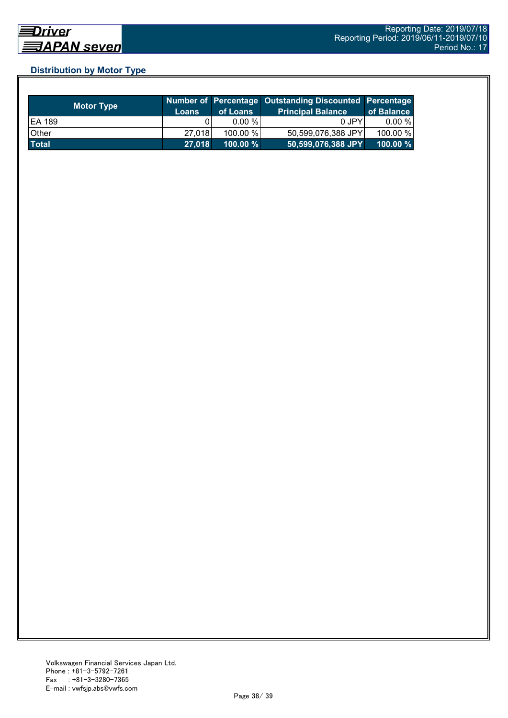## **Distribution by Motor Type**

| <b>Motor Type</b> | Loans  | of Loans    | Number of Percentage Outstanding Discounted Percentage<br><b>Principal Balance</b> | of Balance  |
|-------------------|--------|-------------|------------------------------------------------------------------------------------|-------------|
| <b>EA 189</b>     |        | $0.00 \%$   | 0 JPY                                                                              | $0.00 \%$   |
| Other             | 27.018 | 100.00 %    | 50,599,076,388 JPY                                                                 | 100.00 %    |
| <b>Total</b>      | 27,018 | $100.00 \%$ | 50,599,076,388 JPY                                                                 | $100.00 \%$ |